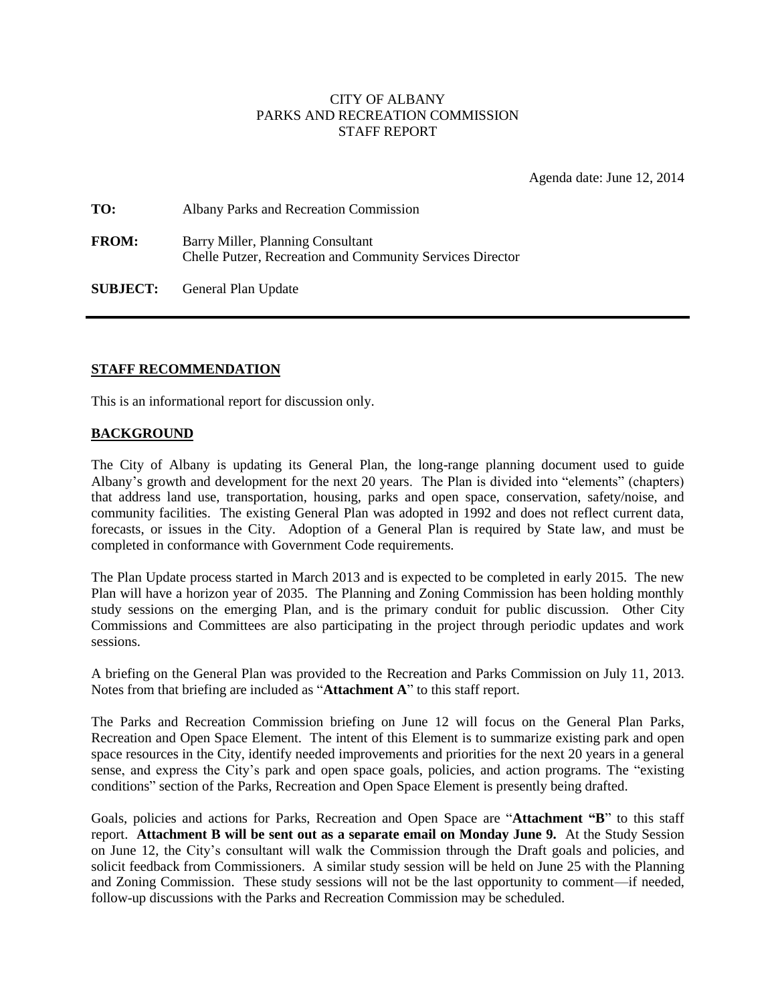## CITY OF ALBANY PARKS AND RECREATION COMMISSION STAFF REPORT

Agenda date: June 12, 2014

| TO:          | Albany Parks and Recreation Commission                                                         |
|--------------|------------------------------------------------------------------------------------------------|
| <b>FROM:</b> | Barry Miller, Planning Consultant<br>Chelle Putzer, Recreation and Community Services Director |

**SUBJECT:** General Plan Update

## **STAFF RECOMMENDATION**

This is an informational report for discussion only.

#### **BACKGROUND**

The City of Albany is updating its General Plan, the long-range planning document used to guide Albany's growth and development for the next 20 years. The Plan is divided into "elements" (chapters) that address land use, transportation, housing, parks and open space, conservation, safety/noise, and community facilities. The existing General Plan was adopted in 1992 and does not reflect current data, forecasts, or issues in the City. Adoption of a General Plan is required by State law, and must be completed in conformance with Government Code requirements.

The Plan Update process started in March 2013 and is expected to be completed in early 2015. The new Plan will have a horizon year of 2035. The Planning and Zoning Commission has been holding monthly study sessions on the emerging Plan, and is the primary conduit for public discussion. Other City Commissions and Committees are also participating in the project through periodic updates and work sessions.

A briefing on the General Plan was provided to the Recreation and Parks Commission on July 11, 2013. Notes from that briefing are included as "**Attachment A**" to this staff report.

The Parks and Recreation Commission briefing on June 12 will focus on the General Plan Parks, Recreation and Open Space Element. The intent of this Element is to summarize existing park and open space resources in the City, identify needed improvements and priorities for the next 20 years in a general sense, and express the City's park and open space goals, policies, and action programs. The "existing conditions" section of the Parks, Recreation and Open Space Element is presently being drafted.

Goals, policies and actions for Parks, Recreation and Open Space are "**Attachment "B**" to this staff report. **Attachment B will be sent out as a separate email on Monday June 9.** At the Study Session on June 12, the City's consultant will walk the Commission through the Draft goals and policies, and solicit feedback from Commissioners. A similar study session will be held on June 25 with the Planning and Zoning Commission. These study sessions will not be the last opportunity to comment—if needed, follow-up discussions with the Parks and Recreation Commission may be scheduled.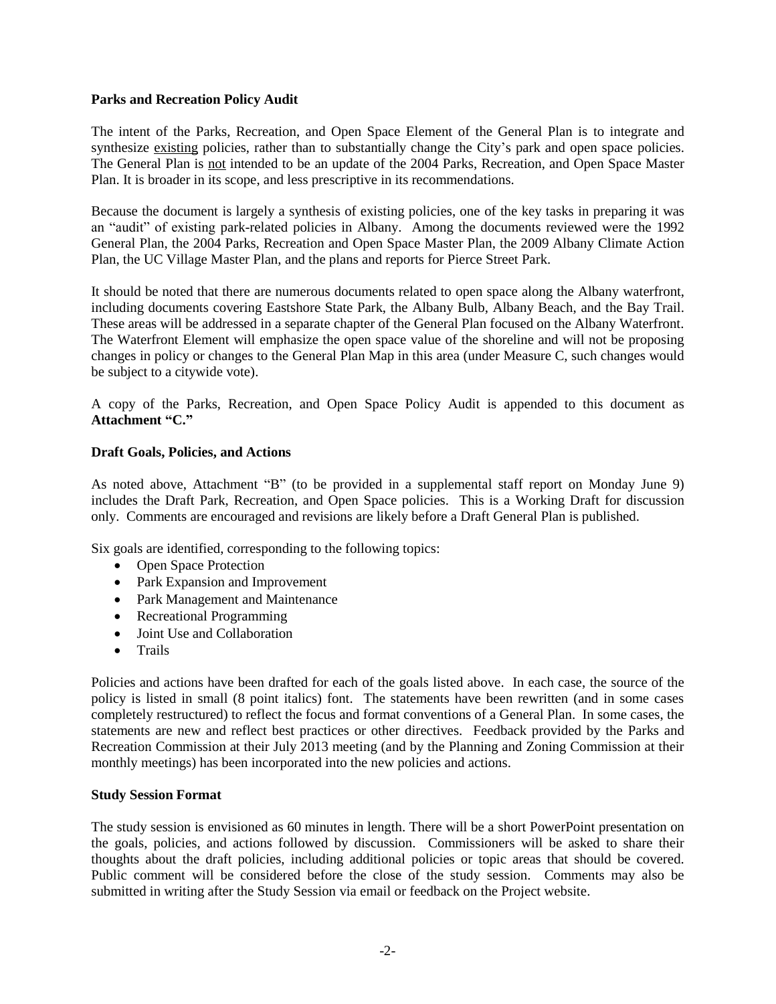### **Parks and Recreation Policy Audit**

The intent of the Parks, Recreation, and Open Space Element of the General Plan is to integrate and synthesize existing policies, rather than to substantially change the City's park and open space policies. The General Plan is not intended to be an update of the 2004 Parks, Recreation, and Open Space Master Plan. It is broader in its scope, and less prescriptive in its recommendations.

Because the document is largely a synthesis of existing policies, one of the key tasks in preparing it was an "audit" of existing park-related policies in Albany. Among the documents reviewed were the 1992 General Plan, the 2004 Parks, Recreation and Open Space Master Plan, the 2009 Albany Climate Action Plan, the UC Village Master Plan, and the plans and reports for Pierce Street Park.

It should be noted that there are numerous documents related to open space along the Albany waterfront, including documents covering Eastshore State Park, the Albany Bulb, Albany Beach, and the Bay Trail. These areas will be addressed in a separate chapter of the General Plan focused on the Albany Waterfront. The Waterfront Element will emphasize the open space value of the shoreline and will not be proposing changes in policy or changes to the General Plan Map in this area (under Measure C, such changes would be subject to a citywide vote).

A copy of the Parks, Recreation, and Open Space Policy Audit is appended to this document as **Attachment "C."**

## **Draft Goals, Policies, and Actions**

As noted above, Attachment "B" (to be provided in a supplemental staff report on Monday June 9) includes the Draft Park, Recreation, and Open Space policies. This is a Working Draft for discussion only. Comments are encouraged and revisions are likely before a Draft General Plan is published.

Six goals are identified, corresponding to the following topics:

- Open Space Protection
- Park Expansion and Improvement
- Park Management and Maintenance
- Recreational Programming
- Joint Use and Collaboration
- Trails

Policies and actions have been drafted for each of the goals listed above. In each case, the source of the policy is listed in small (8 point italics) font. The statements have been rewritten (and in some cases completely restructured) to reflect the focus and format conventions of a General Plan. In some cases, the statements are new and reflect best practices or other directives. Feedback provided by the Parks and Recreation Commission at their July 2013 meeting (and by the Planning and Zoning Commission at their monthly meetings) has been incorporated into the new policies and actions.

## **Study Session Format**

The study session is envisioned as 60 minutes in length. There will be a short PowerPoint presentation on the goals, policies, and actions followed by discussion. Commissioners will be asked to share their thoughts about the draft policies, including additional policies or topic areas that should be covered. Public comment will be considered before the close of the study session. Comments may also be submitted in writing after the Study Session via email or feedback on the Project website.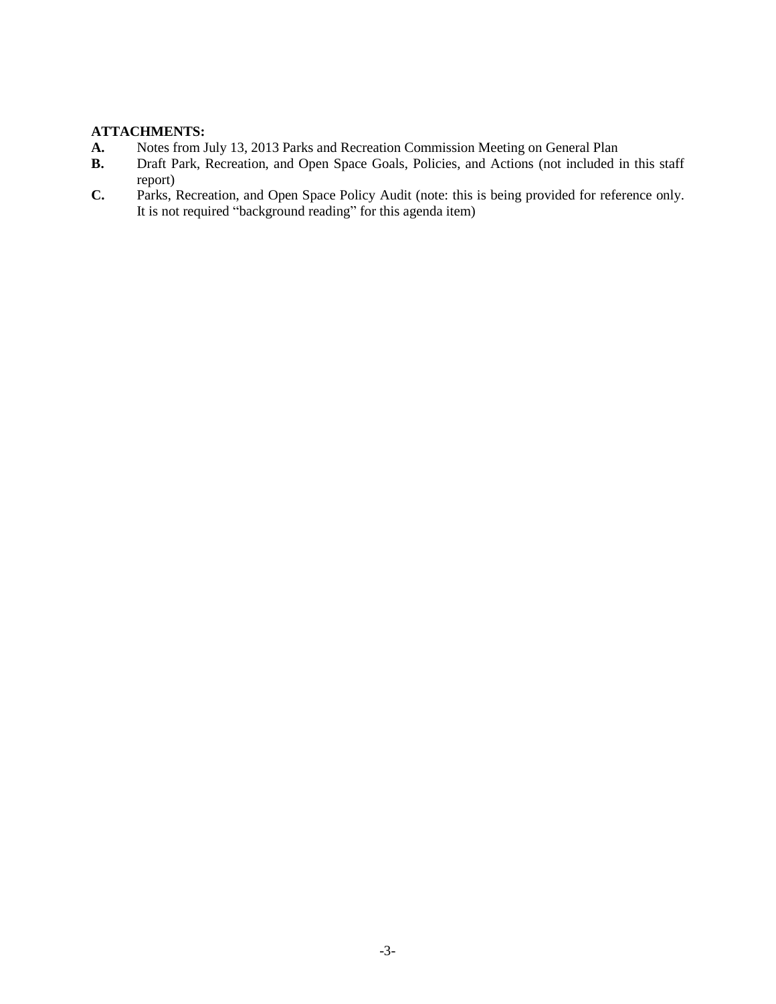# **ATTACHMENTS:**

- **A.** Notes from July 13, 2013 Parks and Recreation Commission Meeting on General Plan
- **B.** Draft Park, Recreation, and Open Space Goals, Policies, and Actions (not included in this staff report)
- **C.** Parks, Recreation, and Open Space Policy Audit (note: this is being provided for reference only. It is not required "background reading" for this agenda item)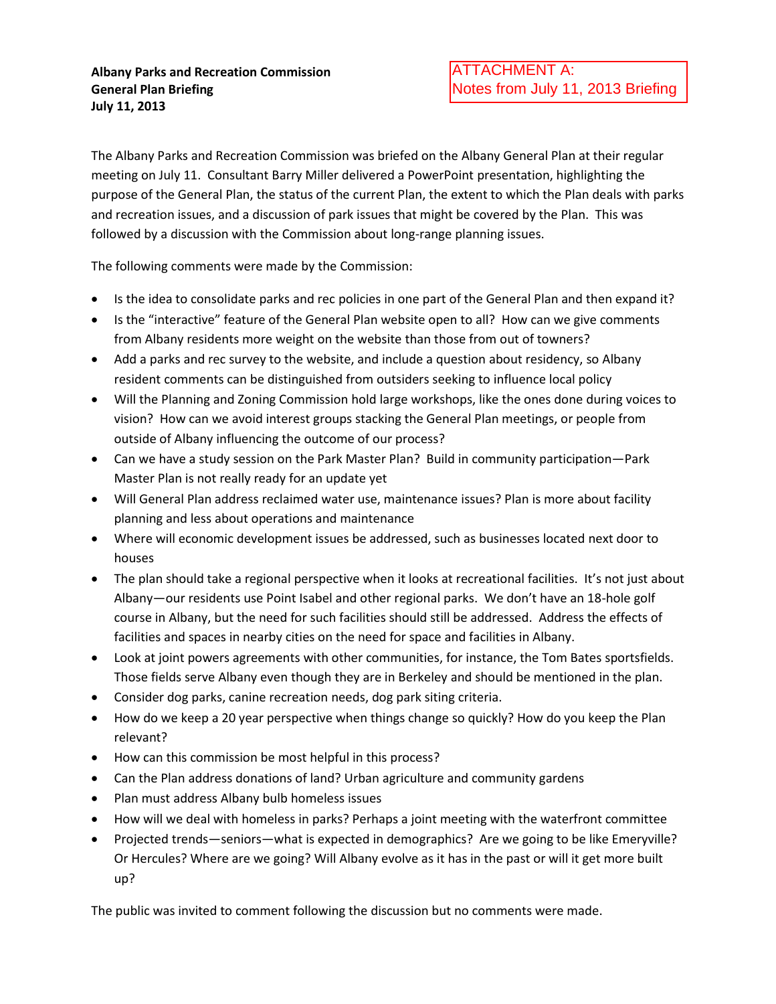The Albany Parks and Recreation Commission was briefed on the Albany General Plan at their regular meeting on July 11. Consultant Barry Miller delivered a PowerPoint presentation, highlighting the purpose of the General Plan, the status of the current Plan, the extent to which the Plan deals with parks and recreation issues, and a discussion of park issues that might be covered by the Plan. This was followed by a discussion with the Commission about long-range planning issues.

The following comments were made by the Commission:

- Is the idea to consolidate parks and rec policies in one part of the General Plan and then expand it?
- Is the "interactive" feature of the General Plan website open to all? How can we give comments from Albany residents more weight on the website than those from out of towners?
- Add a parks and rec survey to the website, and include a question about residency, so Albany resident comments can be distinguished from outsiders seeking to influence local policy
- Will the Planning and Zoning Commission hold large workshops, like the ones done during voices to vision? How can we avoid interest groups stacking the General Plan meetings, or people from outside of Albany influencing the outcome of our process?
- Can we have a study session on the Park Master Plan? Build in community participation—Park Master Plan is not really ready for an update yet
- Will General Plan address reclaimed water use, maintenance issues? Plan is more about facility planning and less about operations and maintenance
- Where will economic development issues be addressed, such as businesses located next door to houses
- The plan should take a regional perspective when it looks at recreational facilities. It's not just about Albany—our residents use Point Isabel and other regional parks. We don't have an 18-hole golf course in Albany, but the need for such facilities should still be addressed. Address the effects of facilities and spaces in nearby cities on the need for space and facilities in Albany.
- Look at joint powers agreements with other communities, for instance, the Tom Bates sportsfields. Those fields serve Albany even though they are in Berkeley and should be mentioned in the plan.
- Consider dog parks, canine recreation needs, dog park siting criteria.
- How do we keep a 20 year perspective when things change so quickly? How do you keep the Plan relevant?
- How can this commission be most helpful in this process?
- Can the Plan address donations of land? Urban agriculture and community gardens
- Plan must address Albany bulb homeless issues
- How will we deal with homeless in parks? Perhaps a joint meeting with the waterfront committee
- Projected trends—seniors—what is expected in demographics? Are we going to be like Emeryville? Or Hercules? Where are we going? Will Albany evolve as it has in the past or will it get more built up?

The public was invited to comment following the discussion but no comments were made.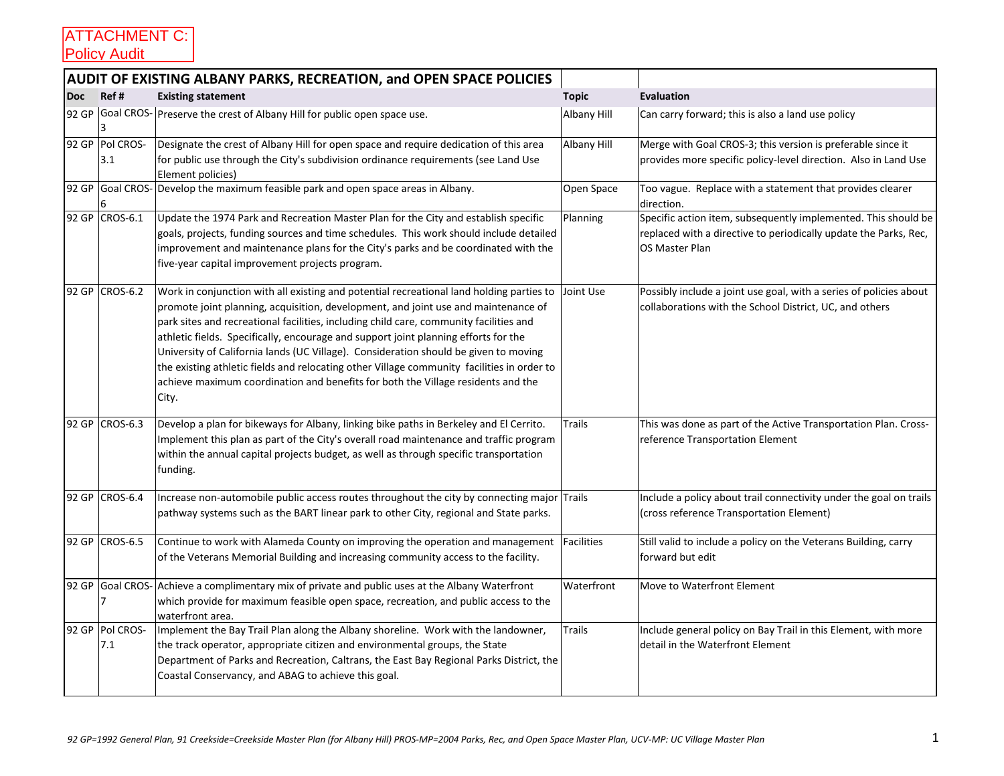|            |                        | <b>AUDIT OF EXISTING ALBANY PARKS, RECREATION, and OPEN SPACE POLICIES</b>                                                                                                                                                                                                                                                                                                                                                                                                                                                                                                                                                                         |               |                                                                                                                                                      |
|------------|------------------------|----------------------------------------------------------------------------------------------------------------------------------------------------------------------------------------------------------------------------------------------------------------------------------------------------------------------------------------------------------------------------------------------------------------------------------------------------------------------------------------------------------------------------------------------------------------------------------------------------------------------------------------------------|---------------|------------------------------------------------------------------------------------------------------------------------------------------------------|
| <b>Doc</b> | Ref#                   | <b>Existing statement</b>                                                                                                                                                                                                                                                                                                                                                                                                                                                                                                                                                                                                                          | <b>Topic</b>  | <b>Evaluation</b>                                                                                                                                    |
|            | 3                      | 92 GP Goal CROS- Preserve the crest of Albany Hill for public open space use.                                                                                                                                                                                                                                                                                                                                                                                                                                                                                                                                                                      | Albany Hill   | Can carry forward; this is also a land use policy                                                                                                    |
|            | 92 GP Pol CROS-<br>3.1 | Designate the crest of Albany Hill for open space and require dedication of this area<br>for public use through the City's subdivision ordinance requirements (see Land Use<br>Element policies)                                                                                                                                                                                                                                                                                                                                                                                                                                                   | Albany Hill   | Merge with Goal CROS-3; this version is preferable since it<br>provides more specific policy-level direction. Also in Land Use                       |
| 92 GP      | 6                      | Goal CROS- Develop the maximum feasible park and open space areas in Albany.                                                                                                                                                                                                                                                                                                                                                                                                                                                                                                                                                                       | Open Space    | Too vague. Replace with a statement that provides clearer<br>direction.                                                                              |
|            | 92 GP CROS-6.1         | Update the 1974 Park and Recreation Master Plan for the City and establish specific<br>goals, projects, funding sources and time schedules. This work should include detailed<br>improvement and maintenance plans for the City's parks and be coordinated with the<br>five-year capital improvement projects program.                                                                                                                                                                                                                                                                                                                             | Planning      | Specific action item, subsequently implemented. This should be<br>replaced with a directive to periodically update the Parks, Rec,<br>OS Master Plan |
|            | 92 GP CROS-6.2         | Work in conjunction with all existing and potential recreational land holding parties to<br>promote joint planning, acquisition, development, and joint use and maintenance of<br>park sites and recreational facilities, including child care, community facilities and<br>athletic fields. Specifically, encourage and support joint planning efforts for the<br>University of California lands (UC Village). Consideration should be given to moving<br>the existing athletic fields and relocating other Village community facilities in order to<br>achieve maximum coordination and benefits for both the Village residents and the<br>City. | Joint Use     | Possibly include a joint use goal, with a series of policies about<br>collaborations with the School District, UC, and others                        |
|            | 92 GP CROS-6.3         | Develop a plan for bikeways for Albany, linking bike paths in Berkeley and El Cerrito.<br>Implement this plan as part of the City's overall road maintenance and traffic program<br>within the annual capital projects budget, as well as through specific transportation<br>funding.                                                                                                                                                                                                                                                                                                                                                              | <b>Trails</b> | This was done as part of the Active Transportation Plan. Cross-<br>reference Transportation Element                                                  |
|            | 92 GP CROS-6.4         | Increase non-automobile public access routes throughout the city by connecting major Trails<br>pathway systems such as the BART linear park to other City, regional and State parks.                                                                                                                                                                                                                                                                                                                                                                                                                                                               |               | Include a policy about trail connectivity under the goal on trails<br>(cross reference Transportation Element)                                       |
|            | 92 GP CROS-6.5         | Continue to work with Alameda County on improving the operation and management   Facilities<br>of the Veterans Memorial Building and increasing community access to the facility.                                                                                                                                                                                                                                                                                                                                                                                                                                                                  |               | Still valid to include a policy on the Veterans Building, carry<br>forward but edit                                                                  |
|            | 7                      | 92 GP Goal CROS- Achieve a complimentary mix of private and public uses at the Albany Waterfront<br>which provide for maximum feasible open space, recreation, and public access to the<br>waterfront area.                                                                                                                                                                                                                                                                                                                                                                                                                                        | Waterfront    | Move to Waterfront Element                                                                                                                           |
|            | 92 GP Pol CROS-<br>7.1 | Implement the Bay Trail Plan along the Albany shoreline. Work with the landowner,<br>the track operator, appropriate citizen and environmental groups, the State<br>Department of Parks and Recreation, Caltrans, the East Bay Regional Parks District, the<br>Coastal Conservancy, and ABAG to achieve this goal.                                                                                                                                                                                                                                                                                                                                 | <b>Trails</b> | Include general policy on Bay Trail in this Element, with more<br>detail in the Waterfront Element                                                   |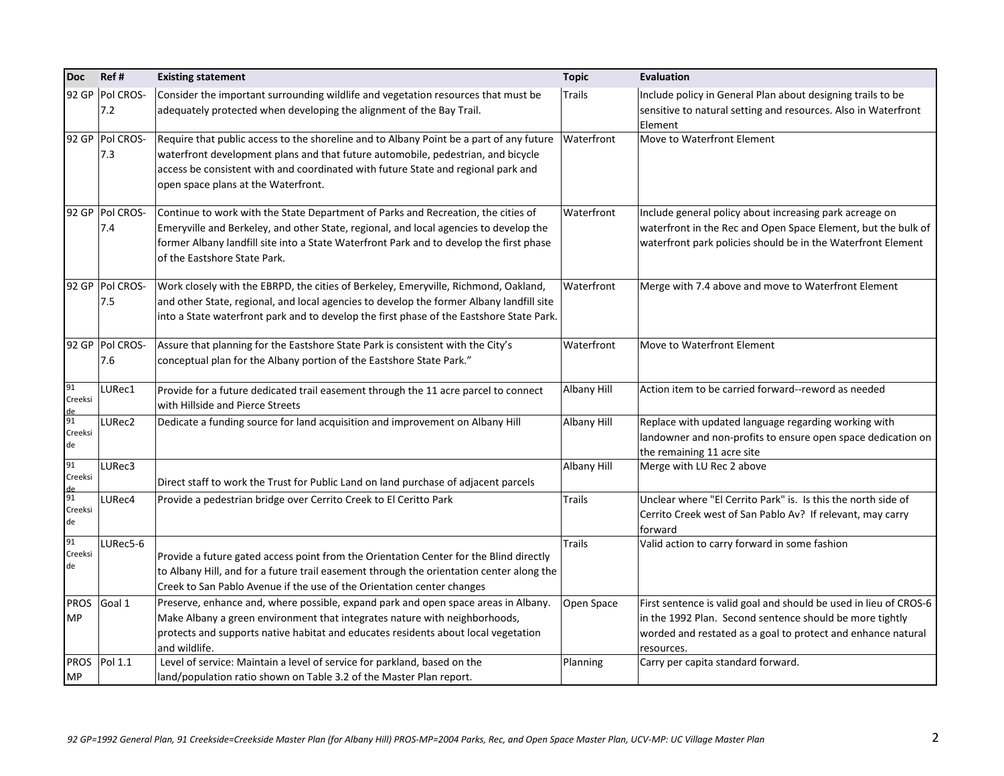| <b>Doc</b>               | Ref#                   | <b>Existing statement</b>                                                                                                                                                                                                                                                                               | <b>Topic</b>  | <b>Evaluation</b>                                                                                                                                                                                           |
|--------------------------|------------------------|---------------------------------------------------------------------------------------------------------------------------------------------------------------------------------------------------------------------------------------------------------------------------------------------------------|---------------|-------------------------------------------------------------------------------------------------------------------------------------------------------------------------------------------------------------|
|                          | 92 GP Pol CROS-<br>7.2 | Consider the important surrounding wildlife and vegetation resources that must be<br>adequately protected when developing the alignment of the Bay Trail.                                                                                                                                               | <b>Trails</b> | Include policy in General Plan about designing trails to be<br>sensitive to natural setting and resources. Also in Waterfront<br>Element                                                                    |
|                          | 92 GP Pol CROS-<br>7.3 | Require that public access to the shoreline and to Albany Point be a part of any future<br>waterfront development plans and that future automobile, pedestrian, and bicycle<br>access be consistent with and coordinated with future State and regional park and<br>open space plans at the Waterfront. | Waterfront    | Move to Waterfront Element                                                                                                                                                                                  |
|                          | 92 GP Pol CROS-<br>7.4 | Continue to work with the State Department of Parks and Recreation, the cities of<br>Emeryville and Berkeley, and other State, regional, and local agencies to develop the<br>former Albany landfill site into a State Waterfront Park and to develop the first phase<br>of the Eastshore State Park.   | Waterfront    | Include general policy about increasing park acreage on<br>waterfront in the Rec and Open Space Element, but the bulk of<br>waterfront park policies should be in the Waterfront Element                    |
|                          | 92 GP Pol CROS-<br>7.5 | Work closely with the EBRPD, the cities of Berkeley, Emeryville, Richmond, Oakland,<br>and other State, regional, and local agencies to develop the former Albany landfill site<br>into a State waterfront park and to develop the first phase of the Eastshore State Park.                             | Waterfront    | Merge with 7.4 above and move to Waterfront Element                                                                                                                                                         |
|                          | 92 GP Pol CROS-<br>7.6 | Assure that planning for the Eastshore State Park is consistent with the City's<br>conceptual plan for the Albany portion of the Eastshore State Park."                                                                                                                                                 | Waterfront    | Move to Waterfront Element                                                                                                                                                                                  |
| 91<br>Creeksi<br>de      | LURec1                 | Provide for a future dedicated trail easement through the 11 acre parcel to connect<br>with Hillside and Pierce Streets                                                                                                                                                                                 | Albany Hill   | Action item to be carried forward--reword as needed                                                                                                                                                         |
| 91<br>Creeksi<br>de      | LURec2                 | Dedicate a funding source for land acquisition and improvement on Albany Hill                                                                                                                                                                                                                           | Albany Hill   | Replace with updated language regarding working with<br>landowner and non-profits to ensure open space dedication on<br>the remaining 11 acre site                                                          |
| 91<br>Creeksi<br>de      | LURec3                 | Direct staff to work the Trust for Public Land on land purchase of adjacent parcels                                                                                                                                                                                                                     | Albany Hill   | Merge with LU Rec 2 above                                                                                                                                                                                   |
| 91<br>Creeksi<br>de      | LURec4                 | Provide a pedestrian bridge over Cerrito Creek to El Ceritto Park                                                                                                                                                                                                                                       | Trails        | Unclear where "El Cerrito Park" is. Is this the north side of<br>Cerrito Creek west of San Pablo Av? If relevant, may carry<br>forward                                                                      |
| 91<br>Creeksi<br>de      | LURec5-6               | Provide a future gated access point from the Orientation Center for the Blind directly<br>to Albany Hill, and for a future trail easement through the orientation center along the<br>Creek to San Pablo Avenue if the use of the Orientation center changes                                            | Trails        | Valid action to carry forward in some fashion                                                                                                                                                               |
| <b>PROS</b><br><b>MP</b> | Goal 1                 | Preserve, enhance and, where possible, expand park and open space areas in Albany.<br>Make Albany a green environment that integrates nature with neighborhoods,<br>protects and supports native habitat and educates residents about local vegetation<br>and wildlife.                                 | Open Space    | First sentence is valid goal and should be used in lieu of CROS-6<br>in the 1992 Plan. Second sentence should be more tightly<br>worded and restated as a goal to protect and enhance natural<br>resources. |
| <b>PROS</b><br><b>MP</b> | Pol 1.1                | Level of service: Maintain a level of service for parkland, based on the<br>land/population ratio shown on Table 3.2 of the Master Plan report.                                                                                                                                                         | Planning      | Carry per capita standard forward.                                                                                                                                                                          |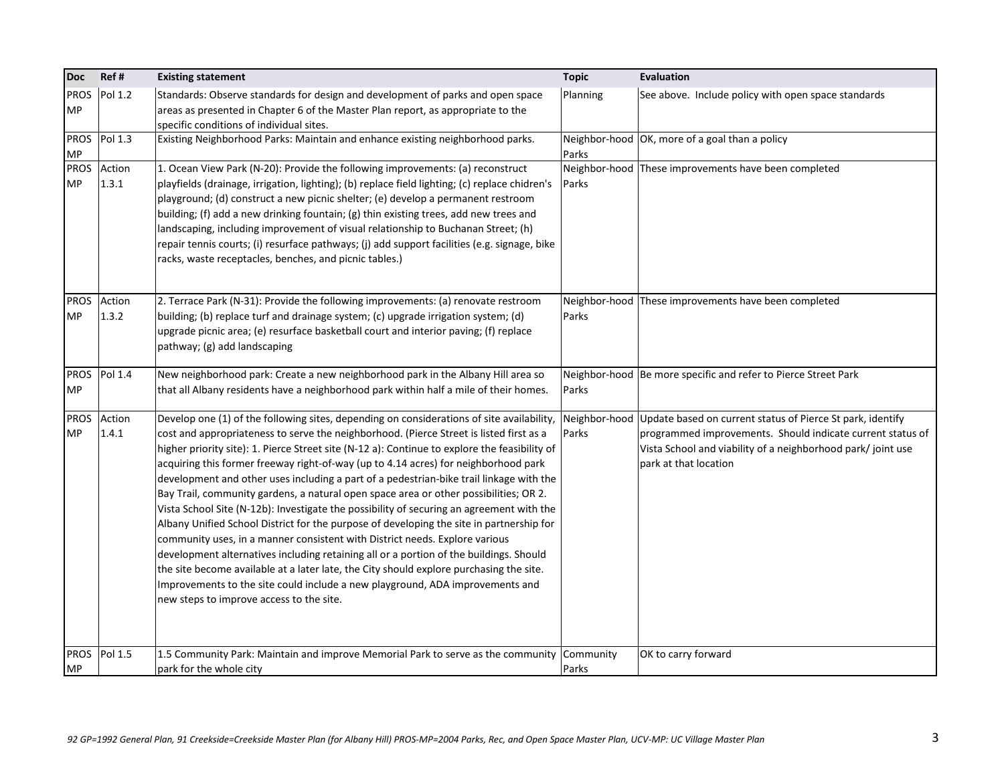| <b>Doc</b>               | Ref#                 | <b>Existing statement</b>                                                                                                                                                                                                                                                                                                                                                                                                                                                                                                                                                                                                                                                                                                                                                                                                                                                                                                                                                                                                                                                                                                                                 | <b>Topic</b>       | <b>Evaluation</b>                                                                                                                                                                                                              |
|--------------------------|----------------------|-----------------------------------------------------------------------------------------------------------------------------------------------------------------------------------------------------------------------------------------------------------------------------------------------------------------------------------------------------------------------------------------------------------------------------------------------------------------------------------------------------------------------------------------------------------------------------------------------------------------------------------------------------------------------------------------------------------------------------------------------------------------------------------------------------------------------------------------------------------------------------------------------------------------------------------------------------------------------------------------------------------------------------------------------------------------------------------------------------------------------------------------------------------|--------------------|--------------------------------------------------------------------------------------------------------------------------------------------------------------------------------------------------------------------------------|
| <b>PROS</b><br><b>MP</b> | Pol 1.2              | Standards: Observe standards for design and development of parks and open space<br>areas as presented in Chapter 6 of the Master Plan report, as appropriate to the<br>specific conditions of individual sites.                                                                                                                                                                                                                                                                                                                                                                                                                                                                                                                                                                                                                                                                                                                                                                                                                                                                                                                                           | Planning           | See above. Include policy with open space standards                                                                                                                                                                            |
| <b>PROS</b><br><b>MP</b> | Pol 1.3              | Existing Neighborhood Parks: Maintain and enhance existing neighborhood parks.                                                                                                                                                                                                                                                                                                                                                                                                                                                                                                                                                                                                                                                                                                                                                                                                                                                                                                                                                                                                                                                                            | Parks              | Neighbor-hood OK, more of a goal than a policy                                                                                                                                                                                 |
| <b>PROS</b><br><b>MP</b> | Action<br>1.3.1      | 1. Ocean View Park (N-20): Provide the following improvements: (a) reconstruct<br>playfields (drainage, irrigation, lighting); (b) replace field lighting; (c) replace chidren's<br>playground; (d) construct a new picnic shelter; (e) develop a permanent restroom<br>building; (f) add a new drinking fountain; (g) thin existing trees, add new trees and<br>landscaping, including improvement of visual relationship to Buchanan Street; (h)<br>repair tennis courts; (i) resurface pathways; (j) add support facilities (e.g. signage, bike<br>racks, waste receptacles, benches, and picnic tables.)                                                                                                                                                                                                                                                                                                                                                                                                                                                                                                                                              | Parks              | Neighbor-hood These improvements have been completed                                                                                                                                                                           |
| <b>MP</b>                | PROS Action<br>1.3.2 | 2. Terrace Park (N-31): Provide the following improvements: (a) renovate restroom<br>building; (b) replace turf and drainage system; (c) upgrade irrigation system; (d)<br>upgrade picnic area; (e) resurface basketball court and interior paving; (f) replace<br>pathway; (g) add landscaping                                                                                                                                                                                                                                                                                                                                                                                                                                                                                                                                                                                                                                                                                                                                                                                                                                                           | Parks              | Neighbor-hood These improvements have been completed                                                                                                                                                                           |
| <b>PROS</b><br><b>MP</b> | Pol 1.4              | New neighborhood park: Create a new neighborhood park in the Albany Hill area so<br>that all Albany residents have a neighborhood park within half a mile of their homes.                                                                                                                                                                                                                                                                                                                                                                                                                                                                                                                                                                                                                                                                                                                                                                                                                                                                                                                                                                                 | Parks              | Neighbor-hood   Be more specific and refer to Pierce Street Park                                                                                                                                                               |
| <b>PROS</b><br><b>MP</b> | Action<br>1.4.1      | Develop one (1) of the following sites, depending on considerations of site availability,<br>cost and appropriateness to serve the neighborhood. (Pierce Street is listed first as a<br>higher priority site): 1. Pierce Street site (N-12 a): Continue to explore the feasibility of<br>acquiring this former freeway right-of-way (up to 4.14 acres) for neighborhood park<br>development and other uses including a part of a pedestrian-bike trail linkage with the<br>Bay Trail, community gardens, a natural open space area or other possibilities; OR 2.<br>Vista School Site (N-12b): Investigate the possibility of securing an agreement with the<br>Albany Unified School District for the purpose of developing the site in partnership for<br>community uses, in a manner consistent with District needs. Explore various<br>development alternatives including retaining all or a portion of the buildings. Should<br>the site become available at a later late, the City should explore purchasing the site.<br>Improvements to the site could include a new playground, ADA improvements and<br>new steps to improve access to the site. | Parks              | Neighbor-hood Update based on current status of Pierce St park, identify<br>programmed improvements. Should indicate current status of<br>Vista School and viability of a neighborhood park/joint use<br>park at that location |
| <b>MP</b>                | PROS Pol 1.5         | 1.5 Community Park: Maintain and improve Memorial Park to serve as the community<br>park for the whole city                                                                                                                                                                                                                                                                                                                                                                                                                                                                                                                                                                                                                                                                                                                                                                                                                                                                                                                                                                                                                                               | Community<br>Parks | OK to carry forward                                                                                                                                                                                                            |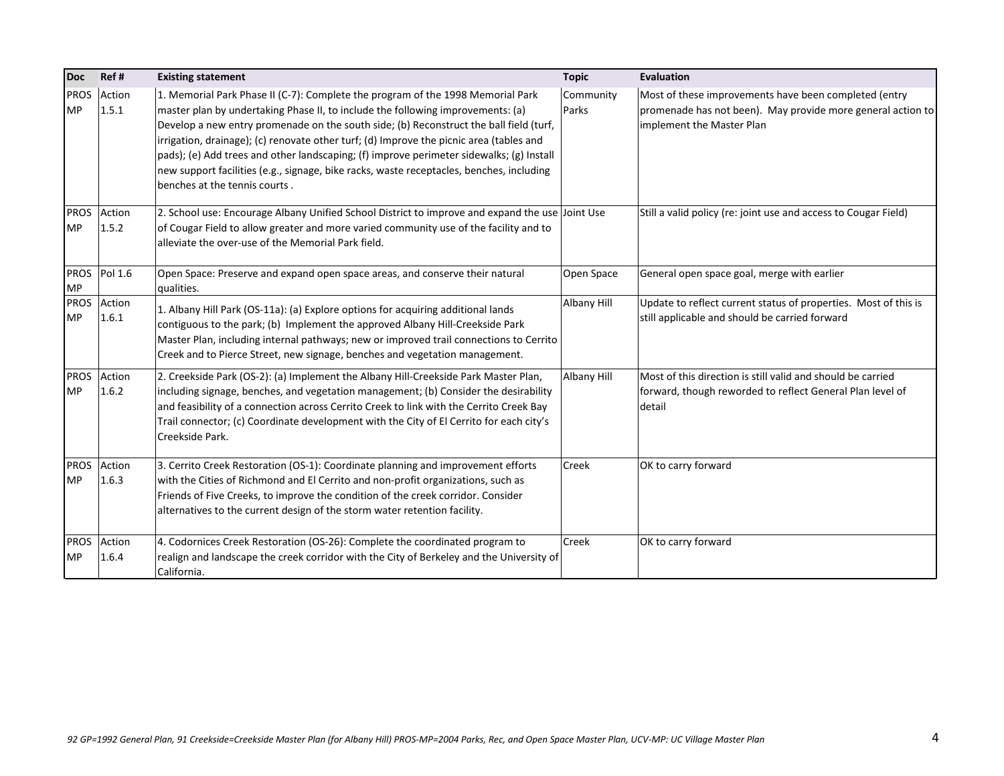| <b>Doc</b>               | Ref#            | <b>Existing statement</b>                                                                                                                                                                                                                                                                                                                                                                                                                                                                                                                                                        | <b>Topic</b>       | Evaluation                                                                                                                                        |
|--------------------------|-----------------|----------------------------------------------------------------------------------------------------------------------------------------------------------------------------------------------------------------------------------------------------------------------------------------------------------------------------------------------------------------------------------------------------------------------------------------------------------------------------------------------------------------------------------------------------------------------------------|--------------------|---------------------------------------------------------------------------------------------------------------------------------------------------|
| <b>PROS</b><br><b>MP</b> | Action<br>1.5.1 | 1. Memorial Park Phase II (C-7): Complete the program of the 1998 Memorial Park<br>master plan by undertaking Phase II, to include the following improvements: (a)<br>Develop a new entry promenade on the south side; (b) Reconstruct the ball field (turf,<br>irrigation, drainage); (c) renovate other turf; (d) Improve the picnic area (tables and<br>pads); (e) Add trees and other landscaping; (f) improve perimeter sidewalks; (g) Install<br>new support facilities (e.g., signage, bike racks, waste receptacles, benches, including<br>benches at the tennis courts. | Community<br>Parks | Most of these improvements have been completed (entry<br>promenade has not been). May provide more general action to<br>implement the Master Plan |
| <b>PROS</b><br><b>MP</b> | Action<br>1.5.2 | 2. School use: Encourage Albany Unified School District to improve and expand the use Joint Use<br>of Cougar Field to allow greater and more varied community use of the facility and to<br>alleviate the over-use of the Memorial Park field.                                                                                                                                                                                                                                                                                                                                   |                    | Still a valid policy (re: joint use and access to Cougar Field)                                                                                   |
| <b>MP</b>                | PROS Pol 1.6    | Open Space: Preserve and expand open space areas, and conserve their natural<br>qualities.                                                                                                                                                                                                                                                                                                                                                                                                                                                                                       | Open Space         | General open space goal, merge with earlier                                                                                                       |
| <b>PROS</b><br><b>MP</b> | Action<br>1.6.1 | 1. Albany Hill Park (OS-11a): (a) Explore options for acquiring additional lands<br>contiguous to the park; (b) Implement the approved Albany Hill-Creekside Park<br>Master Plan, including internal pathways; new or improved trail connections to Cerrito<br>Creek and to Pierce Street, new signage, benches and vegetation management.                                                                                                                                                                                                                                       | Albany Hill        | Update to reflect current status of properties. Most of this is<br>still applicable and should be carried forward                                 |
| <b>PROS</b><br><b>MP</b> | Action<br>1.6.2 | 2. Creekside Park (OS-2): (a) Implement the Albany Hill-Creekside Park Master Plan,<br>including signage, benches, and vegetation management; (b) Consider the desirability<br>and feasibility of a connection across Cerrito Creek to link with the Cerrito Creek Bay<br>Trail connector; (c) Coordinate development with the City of El Cerrito for each city's<br>Creekside Park.                                                                                                                                                                                             | Albany Hill        | Most of this direction is still valid and should be carried<br>forward, though reworded to reflect General Plan level of<br>detail                |
| <b>PROS</b><br><b>MP</b> | Action<br>1.6.3 | 3. Cerrito Creek Restoration (OS-1): Coordinate planning and improvement efforts<br>with the Cities of Richmond and El Cerrito and non-profit organizations, such as<br>Friends of Five Creeks, to improve the condition of the creek corridor. Consider<br>alternatives to the current design of the storm water retention facility.                                                                                                                                                                                                                                            | Creek              | OK to carry forward                                                                                                                               |
| <b>PROS</b><br><b>MP</b> | Action<br>1.6.4 | 4. Codornices Creek Restoration (OS-26): Complete the coordinated program to<br>realign and landscape the creek corridor with the City of Berkeley and the University of<br>California.                                                                                                                                                                                                                                                                                                                                                                                          | Creek              | OK to carry forward                                                                                                                               |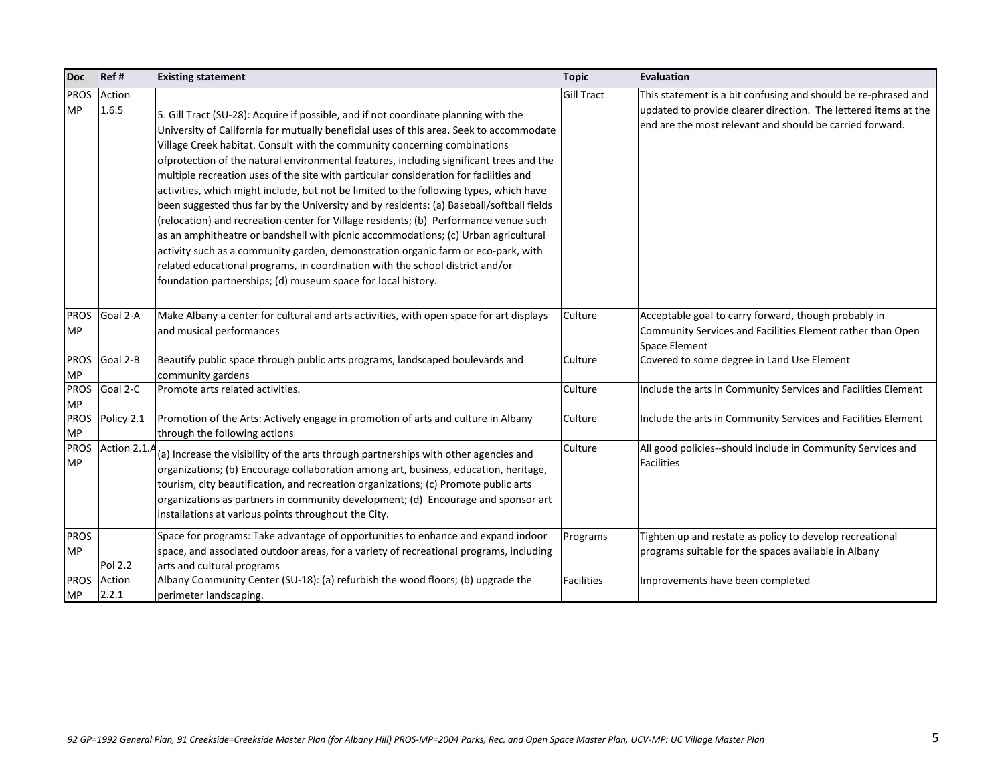| <b>Doc</b>               | Ref#             | <b>Existing statement</b>                                                                                                                                                                                                                                                                                                                                                                                                                                                                                                                                                                                                                                                                                                                                                                                                                                                                                                                                                                                                                                 | <b>Topic</b>      | Evaluation                                                                                                                                                                                    |
|--------------------------|------------------|-----------------------------------------------------------------------------------------------------------------------------------------------------------------------------------------------------------------------------------------------------------------------------------------------------------------------------------------------------------------------------------------------------------------------------------------------------------------------------------------------------------------------------------------------------------------------------------------------------------------------------------------------------------------------------------------------------------------------------------------------------------------------------------------------------------------------------------------------------------------------------------------------------------------------------------------------------------------------------------------------------------------------------------------------------------|-------------------|-----------------------------------------------------------------------------------------------------------------------------------------------------------------------------------------------|
| <b>PROS</b><br><b>MP</b> | Action<br>1.6.5  | 5. Gill Tract (SU-28): Acquire if possible, and if not coordinate planning with the<br>University of California for mutually beneficial uses of this area. Seek to accommodate<br>Village Creek habitat. Consult with the community concerning combinations<br>ofprotection of the natural environmental features, including significant trees and the<br>multiple recreation uses of the site with particular consideration for facilities and<br>activities, which might include, but not be limited to the following types, which have<br>been suggested thus far by the University and by residents: (a) Baseball/softball fields<br>(relocation) and recreation center for Village residents; (b) Performance venue such<br>as an amphitheatre or bandshell with picnic accommodations; (c) Urban agricultural<br>activity such as a community garden, demonstration organic farm or eco-park, with<br>related educational programs, in coordination with the school district and/or<br>foundation partnerships; (d) museum space for local history. | <b>Gill Tract</b> | This statement is a bit confusing and should be re-phrased and<br>updated to provide clearer direction. The lettered items at the<br>end are the most relevant and should be carried forward. |
| <b>MP</b>                | PROS Goal 2-A    | Make Albany a center for cultural and arts activities, with open space for art displays<br>and musical performances                                                                                                                                                                                                                                                                                                                                                                                                                                                                                                                                                                                                                                                                                                                                                                                                                                                                                                                                       | Culture           | Acceptable goal to carry forward, though probably in<br>Community Services and Facilities Element rather than Open<br>Space Element                                                           |
| <b>PROS</b><br><b>MP</b> | Goal 2-B         | Beautify public space through public arts programs, landscaped boulevards and<br>community gardens                                                                                                                                                                                                                                                                                                                                                                                                                                                                                                                                                                                                                                                                                                                                                                                                                                                                                                                                                        | Culture           | Covered to some degree in Land Use Element                                                                                                                                                    |
| <b>PROS</b><br><b>MP</b> | Goal 2-C         | Promote arts related activities.                                                                                                                                                                                                                                                                                                                                                                                                                                                                                                                                                                                                                                                                                                                                                                                                                                                                                                                                                                                                                          | Culture           | Include the arts in Community Services and Facilities Element                                                                                                                                 |
| <b>PROS</b><br><b>MP</b> | Policy 2.1       | Promotion of the Arts: Actively engage in promotion of arts and culture in Albany<br>through the following actions                                                                                                                                                                                                                                                                                                                                                                                                                                                                                                                                                                                                                                                                                                                                                                                                                                                                                                                                        | Culture           | Include the arts in Community Services and Facilities Element                                                                                                                                 |
| <b>PROS</b><br><b>MP</b> | Action 2.1.A     | (a) Increase the visibility of the arts through partnerships with other agencies and<br>organizations; (b) Encourage collaboration among art, business, education, heritage,<br>tourism, city beautification, and recreation organizations; (c) Promote public arts<br>organizations as partners in community development; (d) Encourage and sponsor art<br>installations at various points throughout the City.                                                                                                                                                                                                                                                                                                                                                                                                                                                                                                                                                                                                                                          | Culture           | All good policies--should include in Community Services and<br><b>Facilities</b>                                                                                                              |
| <b>PROS</b><br><b>MP</b> | Pol 2.2          | Space for programs: Take advantage of opportunities to enhance and expand indoor<br>space, and associated outdoor areas, for a variety of recreational programs, including<br>arts and cultural programs                                                                                                                                                                                                                                                                                                                                                                                                                                                                                                                                                                                                                                                                                                                                                                                                                                                  | Programs          | Tighten up and restate as policy to develop recreational<br>programs suitable for the spaces available in Albany                                                                              |
| <b>PROS</b><br><b>MP</b> | Action<br> 2.2.1 | Albany Community Center (SU-18): (a) refurbish the wood floors; (b) upgrade the<br>perimeter landscaping.                                                                                                                                                                                                                                                                                                                                                                                                                                                                                                                                                                                                                                                                                                                                                                                                                                                                                                                                                 | <b>Facilities</b> | Improvements have been completed                                                                                                                                                              |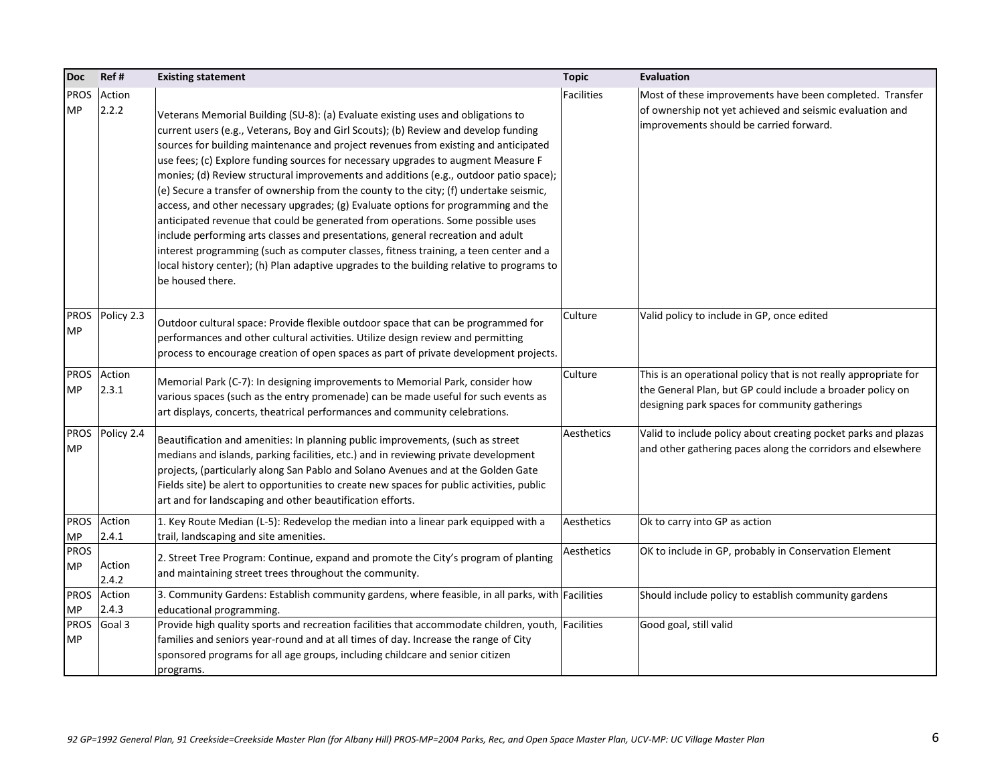| <b>Doc</b>               | Ref#                 | <b>Existing statement</b>                                                                                                                                                                                                                                                                                                                                                                                                                                                                                                                                                                                                                                                                                                                                                                                                                                                                                                                                                                                    | <b>Topic</b> | <b>Evaluation</b>                                                                                                                                                                |
|--------------------------|----------------------|--------------------------------------------------------------------------------------------------------------------------------------------------------------------------------------------------------------------------------------------------------------------------------------------------------------------------------------------------------------------------------------------------------------------------------------------------------------------------------------------------------------------------------------------------------------------------------------------------------------------------------------------------------------------------------------------------------------------------------------------------------------------------------------------------------------------------------------------------------------------------------------------------------------------------------------------------------------------------------------------------------------|--------------|----------------------------------------------------------------------------------------------------------------------------------------------------------------------------------|
| <b>PROS</b><br><b>MP</b> | Action<br>2.2.2      | Veterans Memorial Building (SU-8): (a) Evaluate existing uses and obligations to<br>current users (e.g., Veterans, Boy and Girl Scouts); (b) Review and develop funding<br>sources for building maintenance and project revenues from existing and anticipated<br>use fees; (c) Explore funding sources for necessary upgrades to augment Measure F<br>monies; (d) Review structural improvements and additions (e.g., outdoor patio space);<br>(e) Secure a transfer of ownership from the county to the city; (f) undertake seismic,<br>access, and other necessary upgrades; (g) Evaluate options for programming and the<br>anticipated revenue that could be generated from operations. Some possible uses<br>include performing arts classes and presentations, general recreation and adult<br>interest programming (such as computer classes, fitness training, a teen center and a<br>local history center); (h) Plan adaptive upgrades to the building relative to programs to<br>be housed there. | Facilities   | Most of these improvements have been completed. Transfer<br>of ownership not yet achieved and seismic evaluation and<br>improvements should be carried forward.                  |
| <b>PROS</b><br><b>MP</b> | Policy 2.3           | Outdoor cultural space: Provide flexible outdoor space that can be programmed for<br>performances and other cultural activities. Utilize design review and permitting<br>process to encourage creation of open spaces as part of private development projects.                                                                                                                                                                                                                                                                                                                                                                                                                                                                                                                                                                                                                                                                                                                                               | Culture      | Valid policy to include in GP, once edited                                                                                                                                       |
| <b>PROS</b><br><b>MP</b> | Action<br>2.3.1      | Memorial Park (C-7): In designing improvements to Memorial Park, consider how<br>various spaces (such as the entry promenade) can be made useful for such events as<br>art displays, concerts, theatrical performances and community celebrations.                                                                                                                                                                                                                                                                                                                                                                                                                                                                                                                                                                                                                                                                                                                                                           | Culture      | This is an operational policy that is not really appropriate for<br>the General Plan, but GP could include a broader policy on<br>designing park spaces for community gatherings |
| <b>PROS</b><br><b>MP</b> | Policy 2.4           | Beautification and amenities: In planning public improvements, (such as street<br>medians and islands, parking facilities, etc.) and in reviewing private development<br>projects, (particularly along San Pablo and Solano Avenues and at the Golden Gate<br>Fields site) be alert to opportunities to create new spaces for public activities, public<br>art and for landscaping and other beautification efforts.                                                                                                                                                                                                                                                                                                                                                                                                                                                                                                                                                                                         | Aesthetics   | Valid to include policy about creating pocket parks and plazas<br>and other gathering paces along the corridors and elsewhere                                                    |
|                          | PROS Action<br>2.4.1 | 1. Key Route Median (L-5): Redevelop the median into a linear park equipped with a                                                                                                                                                                                                                                                                                                                                                                                                                                                                                                                                                                                                                                                                                                                                                                                                                                                                                                                           | Aesthetics   | Ok to carry into GP as action                                                                                                                                                    |
| MP<br><b>PROS</b><br>MP  | Action<br>2.4.2      | trail, landscaping and site amenities.<br>2. Street Tree Program: Continue, expand and promote the City's program of planting<br>and maintaining street trees throughout the community.                                                                                                                                                                                                                                                                                                                                                                                                                                                                                                                                                                                                                                                                                                                                                                                                                      | Aesthetics   | OK to include in GP, probably in Conservation Element                                                                                                                            |
| <b>MP</b>                | PROS Action<br>2.4.3 | 3. Community Gardens: Establish community gardens, where feasible, in all parks, with Facilities<br>educational programming.                                                                                                                                                                                                                                                                                                                                                                                                                                                                                                                                                                                                                                                                                                                                                                                                                                                                                 |              | Should include policy to establish community gardens                                                                                                                             |
| <b>PROS</b><br><b>MP</b> | Goal 3               | Provide high quality sports and recreation facilities that accommodate children, youth, Facilities<br>families and seniors year-round and at all times of day. Increase the range of City<br>sponsored programs for all age groups, including childcare and senior citizen<br>programs.                                                                                                                                                                                                                                                                                                                                                                                                                                                                                                                                                                                                                                                                                                                      |              | Good goal, still valid                                                                                                                                                           |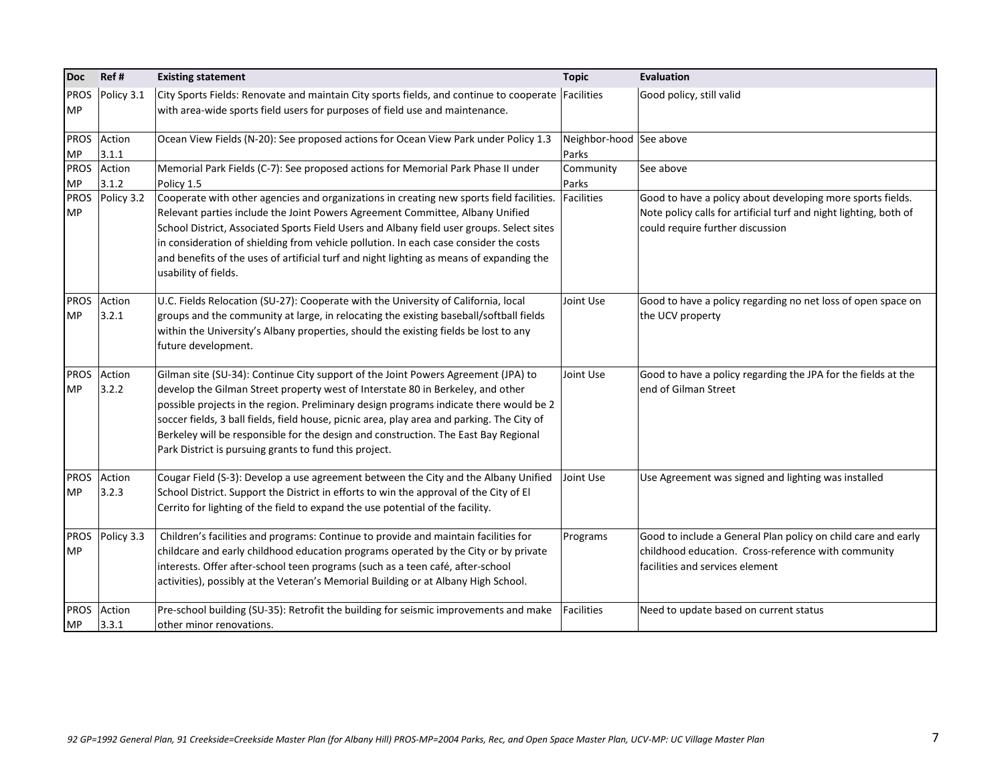| <b>Doc</b>               | Ref#                 | <b>Existing statement</b>                                                                                                                                                                                                                                                                                                                                                                                                                                                                                     | <b>Topic</b>                     | <b>Evaluation</b>                                                                                                                                                   |
|--------------------------|----------------------|---------------------------------------------------------------------------------------------------------------------------------------------------------------------------------------------------------------------------------------------------------------------------------------------------------------------------------------------------------------------------------------------------------------------------------------------------------------------------------------------------------------|----------------------------------|---------------------------------------------------------------------------------------------------------------------------------------------------------------------|
| <b>PROS</b><br><b>MP</b> | Policy 3.1           | City Sports Fields: Renovate and maintain City sports fields, and continue to cooperate Facilities<br>with area-wide sports field users for purposes of field use and maintenance.                                                                                                                                                                                                                                                                                                                            |                                  | Good policy, still valid                                                                                                                                            |
| <b>PROS</b><br><b>MP</b> | Action<br>3.1.1      | Ocean View Fields (N-20): See proposed actions for Ocean View Park under Policy 1.3                                                                                                                                                                                                                                                                                                                                                                                                                           | Neighbor-hood See above<br>Parks |                                                                                                                                                                     |
| <b>PROS</b><br>MP        | Action<br>3.1.2      | Memorial Park Fields (C-7): See proposed actions for Memorial Park Phase II under<br>Policy 1.5                                                                                                                                                                                                                                                                                                                                                                                                               | Community<br>Parks               | See above                                                                                                                                                           |
| <b>PROS</b><br><b>MP</b> | Policy 3.2           | Cooperate with other agencies and organizations in creating new sports field facilities.<br>Relevant parties include the Joint Powers Agreement Committee, Albany Unified<br>School District, Associated Sports Field Users and Albany field user groups. Select sites<br>in consideration of shielding from vehicle pollution. In each case consider the costs<br>and benefits of the uses of artificial turf and night lighting as means of expanding the<br>usability of fields.                           | Facilities                       | Good to have a policy about developing more sports fields.<br>Note policy calls for artificial turf and night lighting, both of<br>could require further discussion |
| <b>MP</b>                | PROS Action<br>3.2.1 | U.C. Fields Relocation (SU-27): Cooperate with the University of California, local<br>groups and the community at large, in relocating the existing baseball/softball fields<br>within the University's Albany properties, should the existing fields be lost to any<br>future development.                                                                                                                                                                                                                   | Joint Use                        | Good to have a policy regarding no net loss of open space on<br>the UCV property                                                                                    |
| <b>MP</b>                | PROS Action<br>3.2.2 | Gilman site (SU-34): Continue City support of the Joint Powers Agreement (JPA) to<br>develop the Gilman Street property west of Interstate 80 in Berkeley, and other<br>possible projects in the region. Preliminary design programs indicate there would be 2<br>soccer fields, 3 ball fields, field house, picnic area, play area and parking. The City of<br>Berkeley will be responsible for the design and construction. The East Bay Regional<br>Park District is pursuing grants to fund this project. | Joint Use                        | Good to have a policy regarding the JPA for the fields at the<br>end of Gilman Street                                                                               |
| <b>PROS</b><br><b>MP</b> | Action<br>3.2.3      | Cougar Field (S-3): Develop a use agreement between the City and the Albany Unified<br>School District. Support the District in efforts to win the approval of the City of El<br>Cerrito for lighting of the field to expand the use potential of the facility.                                                                                                                                                                                                                                               | Joint Use                        | Use Agreement was signed and lighting was installed                                                                                                                 |
| <b>PROS</b><br><b>MP</b> | Policy 3.3           | Children's facilities and programs: Continue to provide and maintain facilities for<br>childcare and early childhood education programs operated by the City or by private<br>interests. Offer after-school teen programs (such as a teen café, after-school<br>activities), possibly at the Veteran's Memorial Building or at Albany High School.                                                                                                                                                            | Programs                         | Good to include a General Plan policy on child care and early<br>childhood education. Cross-reference with community<br>facilities and services element             |
| <b>MP</b>                | PROS Action<br>3.3.1 | Pre-school building (SU-35): Retrofit the building for seismic improvements and make<br>other minor renovations.                                                                                                                                                                                                                                                                                                                                                                                              | <b>Facilities</b>                | Need to update based on current status                                                                                                                              |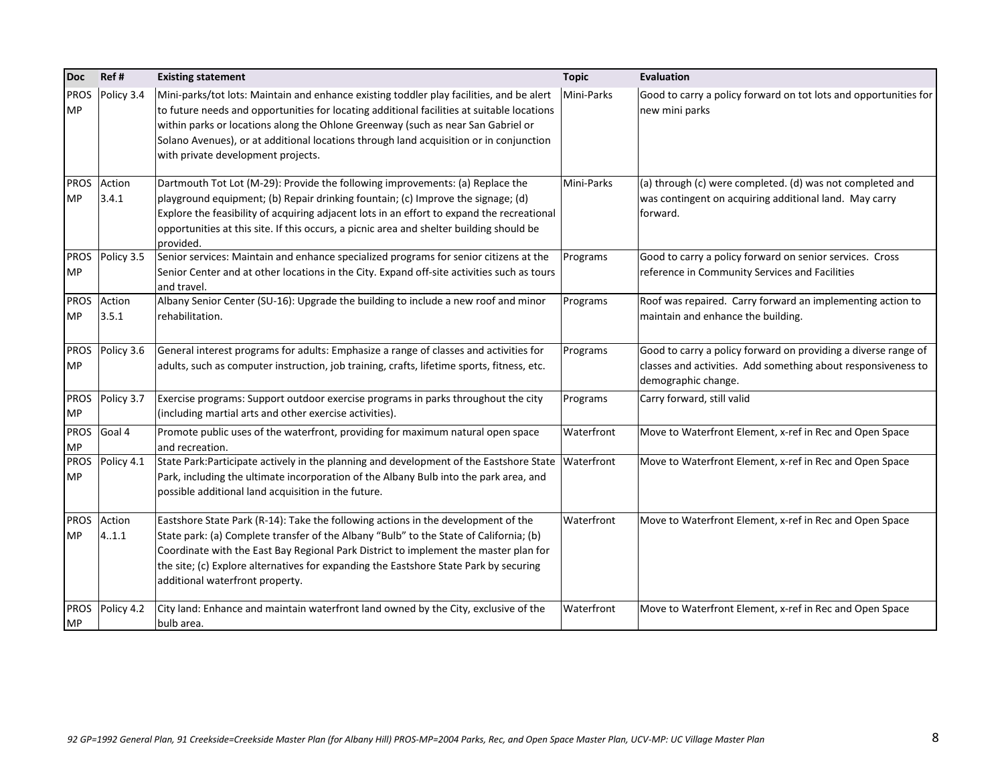| <b>Doc</b>               | Ref#            | <b>Existing statement</b>                                                                                                                                                                                                                                                                                                                                                                                  | <b>Topic</b> | <b>Evaluation</b>                                                                                                                                      |
|--------------------------|-----------------|------------------------------------------------------------------------------------------------------------------------------------------------------------------------------------------------------------------------------------------------------------------------------------------------------------------------------------------------------------------------------------------------------------|--------------|--------------------------------------------------------------------------------------------------------------------------------------------------------|
| <b>PROS</b><br><b>MP</b> | Policy 3.4      | Mini-parks/tot lots: Maintain and enhance existing toddler play facilities, and be alert<br>to future needs and opportunities for locating additional facilities at suitable locations<br>within parks or locations along the Ohlone Greenway (such as near San Gabriel or<br>Solano Avenues), or at additional locations through land acquisition or in conjunction<br>with private development projects. | Mini-Parks   | Good to carry a policy forward on tot lots and opportunities for<br>new mini parks                                                                     |
| <b>PROS</b><br><b>MP</b> | Action<br>3.4.1 | Dartmouth Tot Lot (M-29): Provide the following improvements: (a) Replace the<br>playground equipment; (b) Repair drinking fountain; (c) Improve the signage; (d)<br>Explore the feasibility of acquiring adjacent lots in an effort to expand the recreational<br>opportunities at this site. If this occurs, a picnic area and shelter building should be                                                | Mini-Parks   | (a) through (c) were completed. (d) was not completed and<br>was contingent on acquiring additional land. May carry<br>forward.                        |
|                          |                 | provided.                                                                                                                                                                                                                                                                                                                                                                                                  |              |                                                                                                                                                        |
| <b>PROS</b><br><b>MP</b> | Policy 3.5      | Senior services: Maintain and enhance specialized programs for senior citizens at the<br>Senior Center and at other locations in the City. Expand off-site activities such as tours<br>and travel.                                                                                                                                                                                                         | Programs     | Good to carry a policy forward on senior services. Cross<br>reference in Community Services and Facilities                                             |
| <b>PROS</b><br><b>MP</b> | Action<br>3.5.1 | Albany Senior Center (SU-16): Upgrade the building to include a new roof and minor<br>rehabilitation.                                                                                                                                                                                                                                                                                                      | Programs     | Roof was repaired. Carry forward an implementing action to<br>maintain and enhance the building.                                                       |
| <b>PROS</b><br><b>MP</b> | Policy 3.6      | General interest programs for adults: Emphasize a range of classes and activities for<br>adults, such as computer instruction, job training, crafts, lifetime sports, fitness, etc.                                                                                                                                                                                                                        | Programs     | Good to carry a policy forward on providing a diverse range of<br>classes and activities. Add something about responsiveness to<br>demographic change. |
| <b>PROS</b><br><b>MP</b> | Policy 3.7      | Exercise programs: Support outdoor exercise programs in parks throughout the city<br>(including martial arts and other exercise activities).                                                                                                                                                                                                                                                               | Programs     | Carry forward, still valid                                                                                                                             |
| <b>PROS</b><br><b>MP</b> | Goal 4          | Promote public uses of the waterfront, providing for maximum natural open space<br>land recreation.                                                                                                                                                                                                                                                                                                        | Waterfront   | Move to Waterfront Element, x-ref in Rec and Open Space                                                                                                |
| <b>PROS</b><br><b>MP</b> | Policy 4.1      | State Park:Participate actively in the planning and development of the Eastshore State<br>Park, including the ultimate incorporation of the Albany Bulb into the park area, and<br>possible additional land acquisition in the future.                                                                                                                                                                     | Waterfront   | Move to Waterfront Element, x-ref in Rec and Open Space                                                                                                |
| <b>PROS</b><br><b>MP</b> | Action<br>4.1.1 | Eastshore State Park (R-14): Take the following actions in the development of the<br>State park: (a) Complete transfer of the Albany "Bulb" to the State of California; (b)<br>Coordinate with the East Bay Regional Park District to implement the master plan for<br>the site; (c) Explore alternatives for expanding the Eastshore State Park by securing<br>additional waterfront property.            | Waterfront   | Move to Waterfront Element, x-ref in Rec and Open Space                                                                                                |
| <b>PROS</b><br><b>MP</b> | Policy 4.2      | City land: Enhance and maintain waterfront land owned by the City, exclusive of the<br>bulb area.                                                                                                                                                                                                                                                                                                          | Waterfront   | Move to Waterfront Element, x-ref in Rec and Open Space                                                                                                |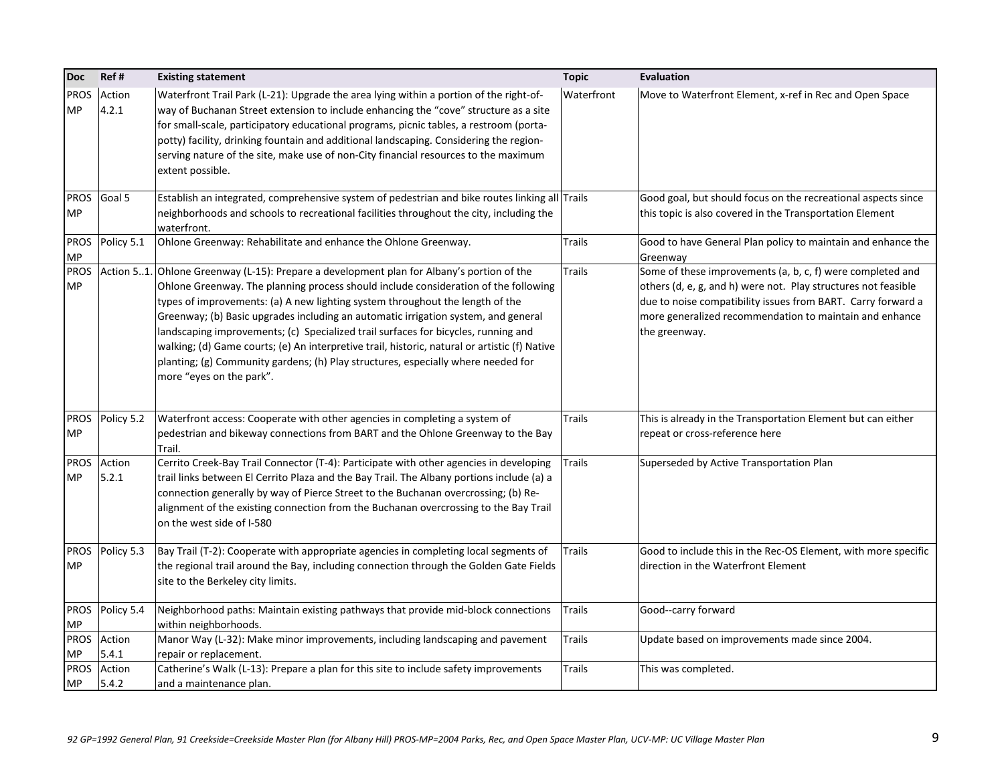| Doc                      | Ref#            | <b>Existing statement</b>                                                                                                                                                                                                                                                                                                                                                                                                                                                                                                                                                                                                                                       | <b>Topic</b>  | <b>Evaluation</b>                                                                                                                                                                                                                                                        |
|--------------------------|-----------------|-----------------------------------------------------------------------------------------------------------------------------------------------------------------------------------------------------------------------------------------------------------------------------------------------------------------------------------------------------------------------------------------------------------------------------------------------------------------------------------------------------------------------------------------------------------------------------------------------------------------------------------------------------------------|---------------|--------------------------------------------------------------------------------------------------------------------------------------------------------------------------------------------------------------------------------------------------------------------------|
| <b>PROS</b><br>MP        | Action<br>4.2.1 | Waterfront Trail Park (L-21): Upgrade the area lying within a portion of the right-of-<br>way of Buchanan Street extension to include enhancing the "cove" structure as a site<br>for small-scale, participatory educational programs, picnic tables, a restroom (porta-<br>potty) facility, drinking fountain and additional landscaping. Considering the region-<br>serving nature of the site, make use of non-City financial resources to the maximum<br>extent possible.                                                                                                                                                                                   | Waterfront    | Move to Waterfront Element, x-ref in Rec and Open Space                                                                                                                                                                                                                  |
| <b>PROS</b><br><b>MP</b> | Goal 5          | Establish an integrated, comprehensive system of pedestrian and bike routes linking all Trails<br>neighborhoods and schools to recreational facilities throughout the city, including the<br>waterfront.                                                                                                                                                                                                                                                                                                                                                                                                                                                        |               | Good goal, but should focus on the recreational aspects since<br>this topic is also covered in the Transportation Element                                                                                                                                                |
| <b>PROS</b><br><b>MP</b> | Policy 5.1      | Ohlone Greenway: Rehabilitate and enhance the Ohlone Greenway.                                                                                                                                                                                                                                                                                                                                                                                                                                                                                                                                                                                                  | <b>Trails</b> | Good to have General Plan policy to maintain and enhance the<br>Greenway                                                                                                                                                                                                 |
| <b>PROS</b><br><b>MP</b> |                 | Action 51. Ohlone Greenway (L-15): Prepare a development plan for Albany's portion of the<br>Ohlone Greenway. The planning process should include consideration of the following<br>types of improvements: (a) A new lighting system throughout the length of the<br>Greenway; (b) Basic upgrades including an automatic irrigation system, and general<br>landscaping improvements; (c) Specialized trail surfaces for bicycles, running and<br>walking; (d) Game courts; (e) An interpretive trail, historic, natural or artistic (f) Native<br>planting; (g) Community gardens; (h) Play structures, especially where needed for<br>more "eyes on the park". | <b>Trails</b> | Some of these improvements (a, b, c, f) were completed and<br>others (d, e, g, and h) were not. Play structures not feasible<br>due to noise compatibility issues from BART. Carry forward a<br>more generalized recommendation to maintain and enhance<br>the greenway. |
| <b>PROS</b><br><b>MP</b> | Policy 5.2      | Waterfront access: Cooperate with other agencies in completing a system of<br>pedestrian and bikeway connections from BART and the Ohlone Greenway to the Bay<br>Trail.                                                                                                                                                                                                                                                                                                                                                                                                                                                                                         | <b>Trails</b> | This is already in the Transportation Element but can either<br>repeat or cross-reference here                                                                                                                                                                           |
| <b>PROS</b><br><b>MP</b> | Action<br>5.2.1 | Cerrito Creek-Bay Trail Connector (T-4): Participate with other agencies in developing<br>trail links between El Cerrito Plaza and the Bay Trail. The Albany portions include (a) a<br>connection generally by way of Pierce Street to the Buchanan overcrossing; (b) Re-<br>alignment of the existing connection from the Buchanan overcrossing to the Bay Trail<br>on the west side of I-580                                                                                                                                                                                                                                                                  | Trails        | Superseded by Active Transportation Plan                                                                                                                                                                                                                                 |
| <b>PROS</b><br><b>MP</b> | Policy 5.3      | Bay Trail (T-2): Cooperate with appropriate agencies in completing local segments of<br>the regional trail around the Bay, including connection through the Golden Gate Fields<br>site to the Berkeley city limits.                                                                                                                                                                                                                                                                                                                                                                                                                                             | <b>Trails</b> | Good to include this in the Rec-OS Element, with more specific<br>direction in the Waterfront Element                                                                                                                                                                    |
| <b>PROS</b><br><b>MP</b> | Policy 5.4      | Neighborhood paths: Maintain existing pathways that provide mid-block connections<br>within neighborhoods.                                                                                                                                                                                                                                                                                                                                                                                                                                                                                                                                                      | <b>Trails</b> | Good--carry forward                                                                                                                                                                                                                                                      |
| <b>PROS</b><br>MP        | Action<br>5.4.1 | Manor Way (L-32): Make minor improvements, including landscaping and pavement<br>repair or replacement.                                                                                                                                                                                                                                                                                                                                                                                                                                                                                                                                                         | <b>Trails</b> | Update based on improvements made since 2004.                                                                                                                                                                                                                            |
| <b>PROS</b><br><b>MP</b> | Action<br>5.4.2 | Catherine's Walk (L-13): Prepare a plan for this site to include safety improvements<br>and a maintenance plan.                                                                                                                                                                                                                                                                                                                                                                                                                                                                                                                                                 | <b>Trails</b> | This was completed.                                                                                                                                                                                                                                                      |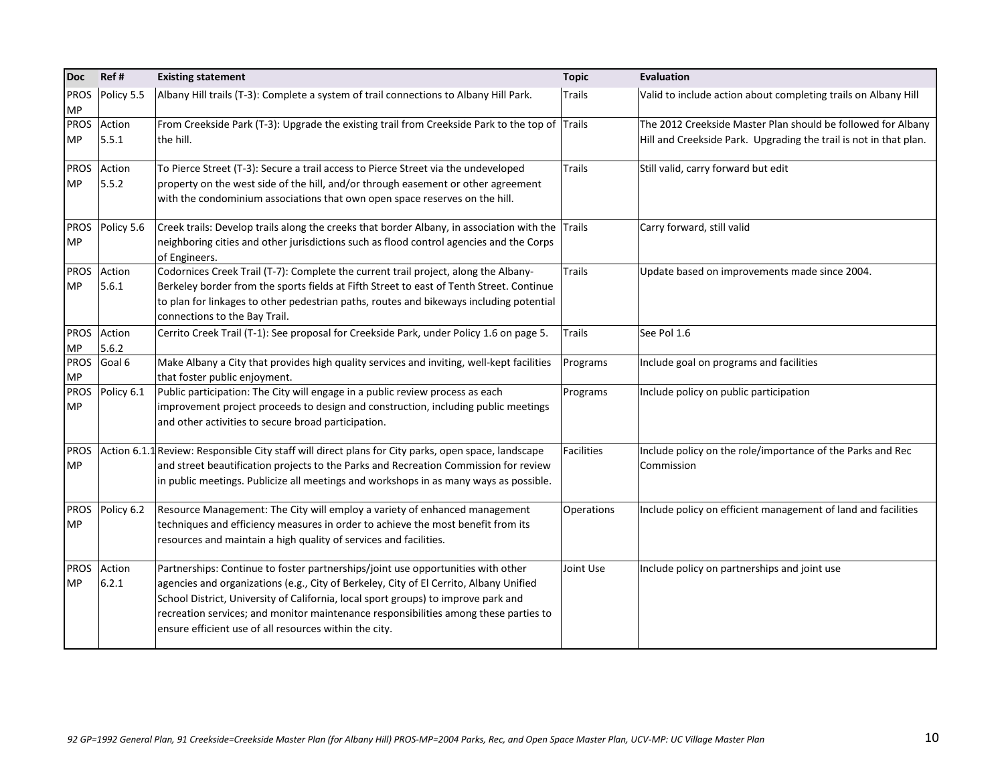| <b>Doc</b>               | Ref#            | <b>Existing statement</b>                                                                                | <b>Topic</b>      | Evaluation                                                        |
|--------------------------|-----------------|----------------------------------------------------------------------------------------------------------|-------------------|-------------------------------------------------------------------|
| <b>PROS</b><br><b>MP</b> | Policy 5.5      | Albany Hill trails (T-3): Complete a system of trail connections to Albany Hill Park.                    | <b>Trails</b>     | Valid to include action about completing trails on Albany Hill    |
| <b>PROS</b>              | Action          | From Creekside Park (T-3): Upgrade the existing trail from Creekside Park to the top of Trails           |                   | The 2012 Creekside Master Plan should be followed for Albany      |
| <b>MP</b>                | 5.5.1           | the hill.                                                                                                |                   | Hill and Creekside Park. Upgrading the trail is not in that plan. |
| <b>PROS</b>              | Action          | To Pierce Street (T-3): Secure a trail access to Pierce Street via the undeveloped                       | <b>Trails</b>     | Still valid, carry forward but edit                               |
| <b>MP</b>                | 5.5.2           | property on the west side of the hill, and/or through easement or other agreement                        |                   |                                                                   |
|                          |                 | with the condominium associations that own open space reserves on the hill.                              |                   |                                                                   |
| <b>PROS</b>              | Policy 5.6      | Creek trails: Develop trails along the creeks that border Albany, in association with the $\vert$ Trails |                   | Carry forward, still valid                                        |
| <b>MP</b>                |                 | neighboring cities and other jurisdictions such as flood control agencies and the Corps                  |                   |                                                                   |
|                          |                 | of Engineers.                                                                                            |                   |                                                                   |
| <b>PROS</b>              | Action          | Codornices Creek Trail (T-7): Complete the current trail project, along the Albany-                      | <b>Trails</b>     | Update based on improvements made since 2004.                     |
| <b>MP</b>                | 5.6.1           | Berkeley border from the sports fields at Fifth Street to east of Tenth Street. Continue                 |                   |                                                                   |
|                          |                 | to plan for linkages to other pedestrian paths, routes and bikeways including potential                  |                   |                                                                   |
|                          |                 | connections to the Bay Trail.                                                                            |                   |                                                                   |
| <b>PROS</b>              | Action<br>5.6.2 | Cerrito Creek Trail (T-1): See proposal for Creekside Park, under Policy 1.6 on page 5.                  | <b>Trails</b>     | See Pol 1.6                                                       |
| <b>MP</b><br><b>PROS</b> | Goal 6          | Make Albany a City that provides high quality services and inviting, well-kept facilities                | Programs          | Include goal on programs and facilities                           |
| <b>MP</b>                |                 | that foster public enjoyment.                                                                            |                   |                                                                   |
| <b>PROS</b>              | Policy 6.1      | Public participation: The City will engage in a public review process as each                            | Programs          | Include policy on public participation                            |
| <b>MP</b>                |                 | improvement project proceeds to design and construction, including public meetings                       |                   |                                                                   |
|                          |                 | and other activities to secure broad participation.                                                      |                   |                                                                   |
| <b>PROS</b>              |                 | Action 6.1.1 Review: Responsible City staff will direct plans for City parks, open space, landscape      | <b>Facilities</b> | Include policy on the role/importance of the Parks and Rec        |
| <b>MP</b>                |                 | and street beautification projects to the Parks and Recreation Commission for review                     |                   | Commission                                                        |
|                          |                 | in public meetings. Publicize all meetings and workshops in as many ways as possible.                    |                   |                                                                   |
| <b>PROS</b>              | Policy 6.2      | Resource Management: The City will employ a variety of enhanced management                               | Operations        | Include policy on efficient management of land and facilities     |
| <b>MP</b>                |                 | techniques and efficiency measures in order to achieve the most benefit from its                         |                   |                                                                   |
|                          |                 | resources and maintain a high quality of services and facilities.                                        |                   |                                                                   |
| <b>PROS</b>              | Action          | Partnerships: Continue to foster partnerships/joint use opportunities with other                         | Joint Use         | Include policy on partnerships and joint use                      |
| <b>MP</b>                | 6.2.1           | agencies and organizations (e.g., City of Berkeley, City of El Cerrito, Albany Unified                   |                   |                                                                   |
|                          |                 | School District, University of California, local sport groups) to improve park and                       |                   |                                                                   |
|                          |                 | recreation services; and monitor maintenance responsibilities among these parties to                     |                   |                                                                   |
|                          |                 | ensure efficient use of all resources within the city.                                                   |                   |                                                                   |
|                          |                 |                                                                                                          |                   |                                                                   |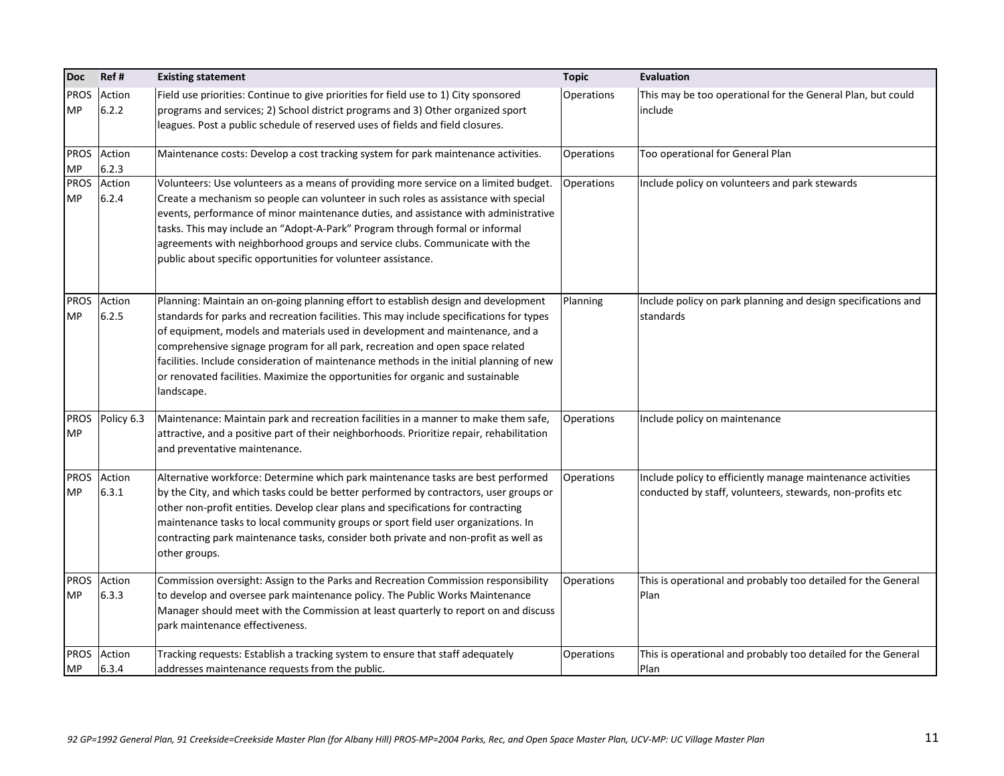| <b>Doc</b>               | Ref#            | <b>Existing statement</b>                                                                                                                                                                                                                                                                                                                                                                                                                                                                                                                    | <b>Topic</b> | <b>Evaluation</b>                                                                                                        |
|--------------------------|-----------------|----------------------------------------------------------------------------------------------------------------------------------------------------------------------------------------------------------------------------------------------------------------------------------------------------------------------------------------------------------------------------------------------------------------------------------------------------------------------------------------------------------------------------------------------|--------------|--------------------------------------------------------------------------------------------------------------------------|
| <b>PROS</b><br><b>MP</b> | Action<br>6.2.2 | Field use priorities: Continue to give priorities for field use to 1) City sponsored<br>programs and services; 2) School district programs and 3) Other organized sport<br>leagues. Post a public schedule of reserved uses of fields and field closures.                                                                                                                                                                                                                                                                                    | Operations   | This may be too operational for the General Plan, but could<br>include                                                   |
| <b>PROS</b><br><b>MP</b> | Action<br>6.2.3 | Maintenance costs: Develop a cost tracking system for park maintenance activities.                                                                                                                                                                                                                                                                                                                                                                                                                                                           | Operations   | Too operational for General Plan                                                                                         |
| <b>PROS</b><br><b>MP</b> | Action<br>6.2.4 | Volunteers: Use volunteers as a means of providing more service on a limited budget.<br>Create a mechanism so people can volunteer in such roles as assistance with special<br>events, performance of minor maintenance duties, and assistance with administrative<br>tasks. This may include an "Adopt-A-Park" Program through formal or informal<br>agreements with neighborhood groups and service clubs. Communicate with the<br>public about specific opportunities for volunteer assistance.                                           | Operations   | Include policy on volunteers and park stewards                                                                           |
| <b>PROS</b><br><b>MP</b> | Action<br>6.2.5 | Planning: Maintain an on-going planning effort to establish design and development<br>standards for parks and recreation facilities. This may include specifications for types<br>of equipment, models and materials used in development and maintenance, and a<br>comprehensive signage program for all park, recreation and open space related<br>facilities. Include consideration of maintenance methods in the initial planning of new<br>or renovated facilities. Maximize the opportunities for organic and sustainable<br>landscape. | Planning     | Include policy on park planning and design specifications and<br>standards                                               |
| <b>PROS</b><br><b>MP</b> | Policy 6.3      | Maintenance: Maintain park and recreation facilities in a manner to make them safe,<br>attractive, and a positive part of their neighborhoods. Prioritize repair, rehabilitation<br>and preventative maintenance.                                                                                                                                                                                                                                                                                                                            | Operations   | Include policy on maintenance                                                                                            |
| <b>PROS</b><br><b>MP</b> | Action<br>6.3.1 | Alternative workforce: Determine which park maintenance tasks are best performed<br>by the City, and which tasks could be better performed by contractors, user groups or<br>other non-profit entities. Develop clear plans and specifications for contracting<br>maintenance tasks to local community groups or sport field user organizations. In<br>contracting park maintenance tasks, consider both private and non-profit as well as<br>other groups.                                                                                  | Operations   | Include policy to efficiently manage maintenance activities<br>conducted by staff, volunteers, stewards, non-profits etc |
| <b>PROS</b><br><b>MP</b> | Action<br>6.3.3 | Commission oversight: Assign to the Parks and Recreation Commission responsibility<br>to develop and oversee park maintenance policy. The Public Works Maintenance<br>Manager should meet with the Commission at least quarterly to report on and discuss<br>park maintenance effectiveness.                                                                                                                                                                                                                                                 | Operations   | This is operational and probably too detailed for the General<br>Plan                                                    |
| <b>PROS</b><br><b>MP</b> | Action<br>6.3.4 | Tracking requests: Establish a tracking system to ensure that staff adequately<br>addresses maintenance requests from the public.                                                                                                                                                                                                                                                                                                                                                                                                            | Operations   | This is operational and probably too detailed for the General<br>Plan                                                    |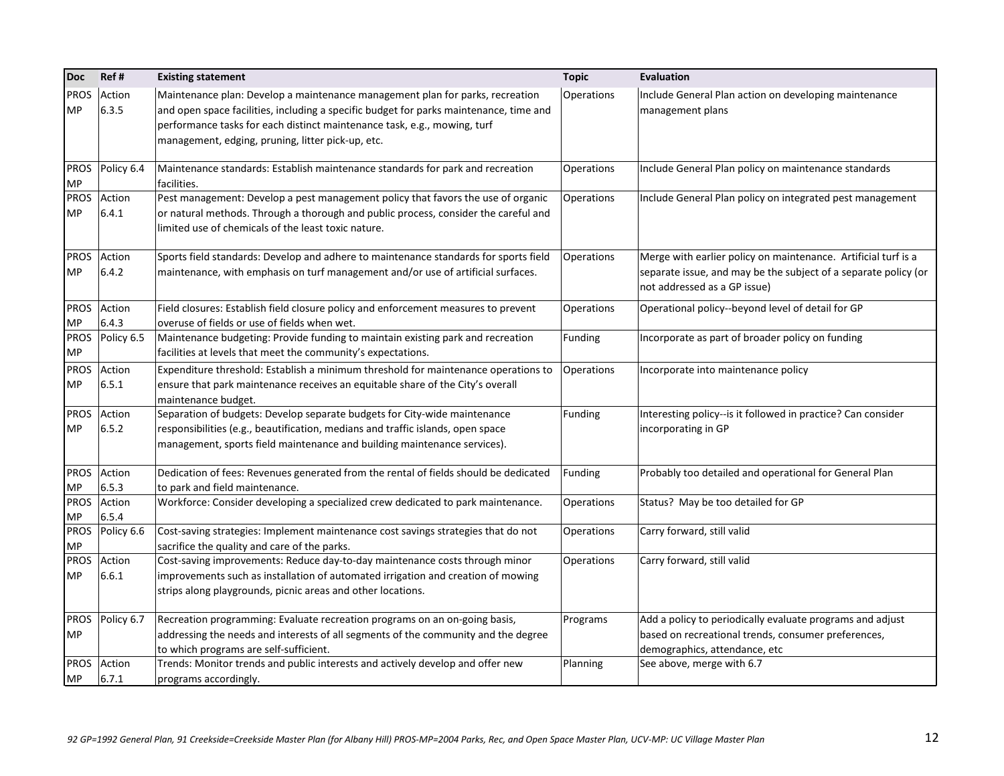| <b>Doc</b>               | Ref#            | <b>Existing statement</b>                                                                                                                                                                                                                                                                                | <b>Topic</b>      | <b>Evaluation</b>                                                                                                                                                 |
|--------------------------|-----------------|----------------------------------------------------------------------------------------------------------------------------------------------------------------------------------------------------------------------------------------------------------------------------------------------------------|-------------------|-------------------------------------------------------------------------------------------------------------------------------------------------------------------|
| <b>PROS</b><br><b>MP</b> | Action<br>6.3.5 | Maintenance plan: Develop a maintenance management plan for parks, recreation<br>and open space facilities, including a specific budget for parks maintenance, time and<br>performance tasks for each distinct maintenance task, e.g., mowing, turf<br>management, edging, pruning, litter pick-up, etc. | Operations        | Include General Plan action on developing maintenance<br>management plans                                                                                         |
| <b>PROS</b><br><b>MP</b> | Policy 6.4      | Maintenance standards: Establish maintenance standards for park and recreation<br>facilities.                                                                                                                                                                                                            | Operations        | Include General Plan policy on maintenance standards                                                                                                              |
| <b>PROS</b><br><b>MP</b> | Action<br>6.4.1 | Pest management: Develop a pest management policy that favors the use of organic<br>or natural methods. Through a thorough and public process, consider the careful and<br>limited use of chemicals of the least toxic nature.                                                                           | Operations        | Include General Plan policy on integrated pest management                                                                                                         |
| <b>PROS</b><br><b>MP</b> | Action<br>6.4.2 | Sports field standards: Develop and adhere to maintenance standards for sports field<br>maintenance, with emphasis on turf management and/or use of artificial surfaces.                                                                                                                                 | Operations        | Merge with earlier policy on maintenance. Artificial turf is a<br>separate issue, and may be the subject of a separate policy (or<br>not addressed as a GP issue) |
| <b>PROS</b><br><b>MP</b> | Action<br>6.4.3 | Field closures: Establish field closure policy and enforcement measures to prevent<br>overuse of fields or use of fields when wet.                                                                                                                                                                       | Operations        | Operational policy--beyond level of detail for GP                                                                                                                 |
| <b>PROS</b><br><b>MP</b> | Policy 6.5      | Maintenance budgeting: Provide funding to maintain existing park and recreation<br>facilities at levels that meet the community's expectations.                                                                                                                                                          | Funding           | Incorporate as part of broader policy on funding                                                                                                                  |
| <b>PROS</b><br><b>MP</b> | Action<br>6.5.1 | Expenditure threshold: Establish a minimum threshold for maintenance operations to<br>ensure that park maintenance receives an equitable share of the City's overall<br>maintenance budget.                                                                                                              | Operations        | Incorporate into maintenance policy                                                                                                                               |
| <b>PROS</b><br><b>MP</b> | Action<br>6.5.2 | Separation of budgets: Develop separate budgets for City-wide maintenance<br>responsibilities (e.g., beautification, medians and traffic islands, open space<br>management, sports field maintenance and building maintenance services).                                                                 | Funding           | Interesting policy--is it followed in practice? Can consider<br>incorporating in GP                                                                               |
| <b>PROS</b><br><b>MP</b> | Action<br>6.5.3 | Dedication of fees: Revenues generated from the rental of fields should be dedicated<br>to park and field maintenance.                                                                                                                                                                                   | Funding           | Probably too detailed and operational for General Plan                                                                                                            |
| <b>PROS</b><br><b>MP</b> | Action<br>6.5.4 | Workforce: Consider developing a specialized crew dedicated to park maintenance.                                                                                                                                                                                                                         | Operations        | Status? May be too detailed for GP                                                                                                                                |
| <b>PROS</b><br><b>MP</b> | Policy 6.6      | Cost-saving strategies: Implement maintenance cost savings strategies that do not<br>sacrifice the quality and care of the parks.                                                                                                                                                                        | <b>Operations</b> | Carry forward, still valid                                                                                                                                        |
| <b>PROS</b><br><b>MP</b> | Action<br>6.6.1 | Cost-saving improvements: Reduce day-to-day maintenance costs through minor<br>improvements such as installation of automated irrigation and creation of mowing<br>strips along playgrounds, picnic areas and other locations.                                                                           | Operations        | Carry forward, still valid                                                                                                                                        |
| <b>PROS</b><br><b>MP</b> | Policy 6.7      | Recreation programming: Evaluate recreation programs on an on-going basis,<br>addressing the needs and interests of all segments of the community and the degree<br>to which programs are self-sufficient.                                                                                               | Programs          | Add a policy to periodically evaluate programs and adjust<br>based on recreational trends, consumer preferences,<br>demographics, attendance, etc                 |
| <b>PROS</b><br><b>MP</b> | Action<br>6.7.1 | Trends: Monitor trends and public interests and actively develop and offer new<br>programs accordingly.                                                                                                                                                                                                  | Planning          | See above, merge with 6.7                                                                                                                                         |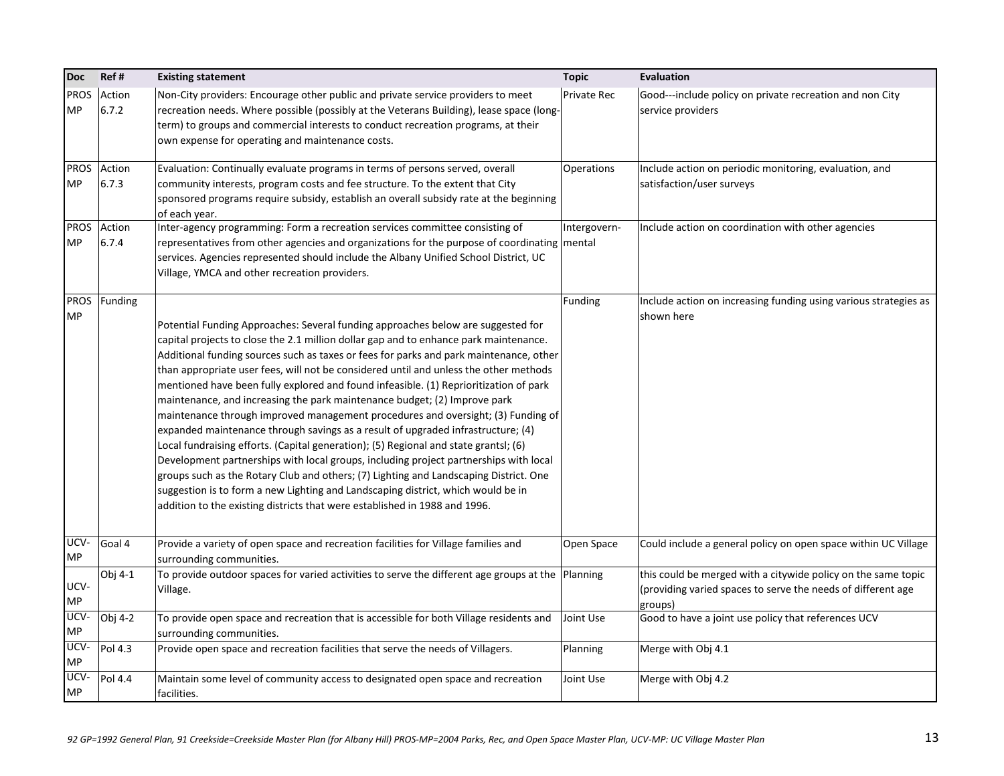| <b>Doc</b>               | Ref#            | <b>Existing statement</b>                                                                                                                                                                                                                                                                                                                                                                                                                                                                                                                                                                                                                                                                                                                                                                                                                                                                                                                                                                                                                                                                                                                              | <b>Topic</b>       | Evaluation                                                                     |
|--------------------------|-----------------|--------------------------------------------------------------------------------------------------------------------------------------------------------------------------------------------------------------------------------------------------------------------------------------------------------------------------------------------------------------------------------------------------------------------------------------------------------------------------------------------------------------------------------------------------------------------------------------------------------------------------------------------------------------------------------------------------------------------------------------------------------------------------------------------------------------------------------------------------------------------------------------------------------------------------------------------------------------------------------------------------------------------------------------------------------------------------------------------------------------------------------------------------------|--------------------|--------------------------------------------------------------------------------|
| <b>PROS</b><br><b>MP</b> | Action<br>6.7.2 | Non-City providers: Encourage other public and private service providers to meet<br>recreation needs. Where possible (possibly at the Veterans Building), lease space (long-<br>term) to groups and commercial interests to conduct recreation programs, at their<br>own expense for operating and maintenance costs.                                                                                                                                                                                                                                                                                                                                                                                                                                                                                                                                                                                                                                                                                                                                                                                                                                  | <b>Private Rec</b> | Good---include policy on private recreation and non City<br>service providers  |
| <b>PROS</b><br><b>MP</b> | Action<br>6.7.3 | Evaluation: Continually evaluate programs in terms of persons served, overall<br>community interests, program costs and fee structure. To the extent that City                                                                                                                                                                                                                                                                                                                                                                                                                                                                                                                                                                                                                                                                                                                                                                                                                                                                                                                                                                                         | Operations         | Include action on periodic monitoring, evaluation, and                         |
|                          |                 | sponsored programs require subsidy, establish an overall subsidy rate at the beginning<br>of each year.                                                                                                                                                                                                                                                                                                                                                                                                                                                                                                                                                                                                                                                                                                                                                                                                                                                                                                                                                                                                                                                |                    | satisfaction/user surveys                                                      |
| <b>PROS</b>              | Action          | Inter-agency programming: Form a recreation services committee consisting of                                                                                                                                                                                                                                                                                                                                                                                                                                                                                                                                                                                                                                                                                                                                                                                                                                                                                                                                                                                                                                                                           | Intergovern-       | Include action on coordination with other agencies                             |
| IMP.                     | 6.7.4           | representatives from other agencies and organizations for the purpose of coordinating mental<br>services. Agencies represented should include the Albany Unified School District, UC<br>Village, YMCA and other recreation providers.                                                                                                                                                                                                                                                                                                                                                                                                                                                                                                                                                                                                                                                                                                                                                                                                                                                                                                                  |                    |                                                                                |
| <b>PROS</b>              | Funding         |                                                                                                                                                                                                                                                                                                                                                                                                                                                                                                                                                                                                                                                                                                                                                                                                                                                                                                                                                                                                                                                                                                                                                        | Funding            |                                                                                |
| <b>MP</b>                |                 | Potential Funding Approaches: Several funding approaches below are suggested for<br>capital projects to close the 2.1 million dollar gap and to enhance park maintenance.<br>Additional funding sources such as taxes or fees for parks and park maintenance, other<br>than appropriate user fees, will not be considered until and unless the other methods<br>mentioned have been fully explored and found infeasible. (1) Reprioritization of park<br>maintenance, and increasing the park maintenance budget; (2) Improve park<br>maintenance through improved management procedures and oversight; (3) Funding of<br>expanded maintenance through savings as a result of upgraded infrastructure; (4)<br>Local fundraising efforts. (Capital generation); (5) Regional and state grantsl; (6)<br>Development partnerships with local groups, including project partnerships with local<br>groups such as the Rotary Club and others; (7) Lighting and Landscaping District. One<br>suggestion is to form a new Lighting and Landscaping district, which would be in<br>addition to the existing districts that were established in 1988 and 1996. |                    | Include action on increasing funding using various strategies as<br>shown here |
| UCV-<br><b>MP</b>        | Goal 4          | Provide a variety of open space and recreation facilities for Village families and<br>surrounding communities.                                                                                                                                                                                                                                                                                                                                                                                                                                                                                                                                                                                                                                                                                                                                                                                                                                                                                                                                                                                                                                         | Open Space         | Could include a general policy on open space within UC Village                 |
|                          | Obj 4-1         | To provide outdoor spaces for varied activities to serve the different age groups at the Planning                                                                                                                                                                                                                                                                                                                                                                                                                                                                                                                                                                                                                                                                                                                                                                                                                                                                                                                                                                                                                                                      |                    | this could be merged with a citywide policy on the same topic                  |
| UCV-<br><b>MP</b>        |                 | Village.                                                                                                                                                                                                                                                                                                                                                                                                                                                                                                                                                                                                                                                                                                                                                                                                                                                                                                                                                                                                                                                                                                                                               |                    | (providing varied spaces to serve the needs of different age                   |
| UCV-                     | Obj 4-2         | To provide open space and recreation that is accessible for both Village residents and                                                                                                                                                                                                                                                                                                                                                                                                                                                                                                                                                                                                                                                                                                                                                                                                                                                                                                                                                                                                                                                                 | Joint Use          | groups)<br>Good to have a joint use policy that references UCV                 |
| <b>MP</b>                |                 | surrounding communities.                                                                                                                                                                                                                                                                                                                                                                                                                                                                                                                                                                                                                                                                                                                                                                                                                                                                                                                                                                                                                                                                                                                               |                    |                                                                                |
| UCV-<br><b>MP</b>        | Pol 4.3         | Provide open space and recreation facilities that serve the needs of Villagers.                                                                                                                                                                                                                                                                                                                                                                                                                                                                                                                                                                                                                                                                                                                                                                                                                                                                                                                                                                                                                                                                        | Planning           | Merge with Obj 4.1                                                             |
| UCV-<br><b>MP</b>        | Pol 4.4         | Maintain some level of community access to designated open space and recreation<br>facilities.                                                                                                                                                                                                                                                                                                                                                                                                                                                                                                                                                                                                                                                                                                                                                                                                                                                                                                                                                                                                                                                         | Joint Use          | Merge with Obj 4.2                                                             |